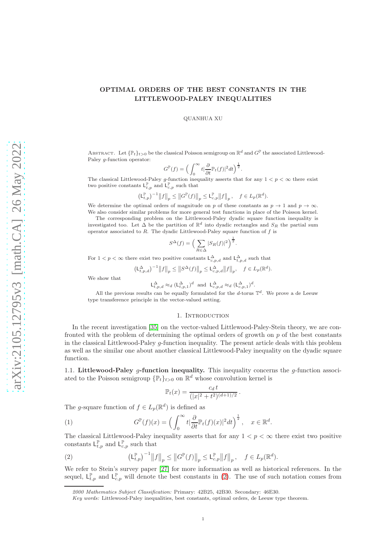# OPTIMAL ORDERS OF THE BEST CONSTANTS IN THE LITTLEWOOD-PALEY INEQUALITIES

### QUANHUA XU

ABSTRACT. Let  $\{\mathbb{P}_t\}_{t>0}$  be the classical Poisson semigroup on  $\mathbb{R}^d$  and  $G^{\mathbb{P}}$  the associated Littlewood-Paley g-function operator:

$$
G^{\mathbb{P}}(f) = \Big(\int_0^\infty t \vert \frac{\partial}{\partial t} \mathbb{P}_t(f) \vert^2 dt \Big)^{\frac{1}{2}}.
$$

The classical Littlewood-Paley g-function inequality asserts that for any  $1 < p < \infty$  there exist two positive constants  $\mathsf{L}_{t,p}^{\mathbb{P}}$  and  $\mathsf{L}_{c,p}^{\mathbb{P}}$  such that

$$
\left(\mathsf{L}_{t,p}^{\mathbb{P}}\right)^{-1}\big\|f\big\|_p\leq \big\|G^{\mathbb{P}}(f)\big\|_p\leq \mathsf{L}_{c,p}^{\mathbb{P}}\big\|f\big\|_p\,,\quad f\in L_p(\mathbb{R}^d).
$$

We determine the optimal orders of magnitude on p of these constants as  $p \to 1$  and  $p \to \infty$ . We also consider similar problems for more general test functions in place of the Poisson kernel.

The corresponding problem on the Littlewood-Paley dyadic square function inequality is investigated too. Let  $\Delta$  be the partition of  $\mathbb{R}^d$  into dyadic rectangles and  $S_R$  the partial sum operator associated to  $R$ . The dyadic Littlewood-Paley square function of  $f$  is

$$
S^{\Delta}(f) = \left(\sum_{R \in \Delta} |S_R(f)|^2\right)^{\frac{1}{2}}
$$

.

.

.

For  $1 < p < \infty$  there exist two positive constants  $\mathsf{L}^{\Delta}_{c,p,d}$  and  $\mathsf{L}^{\Delta}_{t,p,d}$  such that

$$
\left(\mathsf{L}^{\Delta}_{t,p,d}\right)^{-1} \left\|f\right\|_p \le \left\|S^{\Delta}(f)\right\|_p \le \mathsf{L}^{\Delta}_{c,p,d} \left\|f\right\|_p, \quad f \in L_p(\mathbb{R}^d).
$$

We show that

$$
\mathsf{L}^{\Delta}_{t,p,d} \approx_d (\mathsf{L}^{\Delta}_{t,p,1})^d \text{ and } \mathsf{L}^{\Delta}_{c,p,d} \approx_d (\mathsf{L}^{\Delta}_{c,p,1})^d
$$

All the previous results can be equally formulated for the d-torus  $\mathbb{T}^d$ . We prove a de Leeuw type transference principle in the vector-valued setting.

### 1. INTRODUCTION

<span id="page-0-3"></span>In the recent investigation [\[35\]](#page-22-0) on the vector-valued Littlewood-Paley-Stein theory, we are confronted with the problem of determining the optimal orders of growth on  $p$  of the best constants in the classical Littlewood-Paley g-function inequality. The present article deals with this problem as well as the similar one about another classical Littlewood-Paley inequality on the dyadic square function.

<span id="page-0-2"></span>1.1. Littlewood-Paley q-function inequality. This inequality concerns the q-function associated to the Poisson semigroup  $\{\mathbb{P}_t\}_{t>0}$  on  $\mathbb{R}^d$  whose convolution kernel is

<span id="page-0-1"></span>
$$
\mathbb{P}_t(x) = \frac{c_d \, t}{(|x|^2 + t^2)^{(d+1)/2}}
$$

The g-square function of  $f \in L_p(\mathbb{R}^d)$  is defined as

(1) 
$$
G^{\mathbb{P}}(f)(x) = \left(\int_0^\infty t \big|\frac{\partial}{\partial t} \mathbb{P}_t(f)(x)|^2 dt\right)^{\frac{1}{2}}, \quad x \in \mathbb{R}^d.
$$

The classical Littlewood-Paley inequality asserts that for any  $1 < p < \infty$  there exist two positive constants  $L_{t,p}^{\mathbb{P}}$  and  $L_{c,p}^{\mathbb{P}}$  such that

<span id="page-0-0"></span>(2) 
$$
\left(\mathsf{L}_{t,p}^{\mathbb{P}}\right)^{-1} \|f\|_{p} \leq \|G^{\mathbb{P}}(f)\|_{p} \leq \mathsf{L}_{c,p}^{\mathbb{P}} \|f\|_{p}, \quad f \in L_{p}(\mathbb{R}^{d}).
$$

We refer to Stein's survey paper [\[27\]](#page-21-0) for more information as well as historical references. In the sequel,  $L_{t,p}^{\mathbb{P}}$  and  $L_{c,p}^{\mathbb{P}}$  will denote the best constants in [\(2\)](#page-0-0). The use of such notation comes from

<sup>2000</sup> Mathematics Subject Classification: Primary: 42B25, 42B30. Secondary: 46E30.

Key words: Littlewood-Paley inequalities, best constants, optimal orders, de Leeuw type theorem.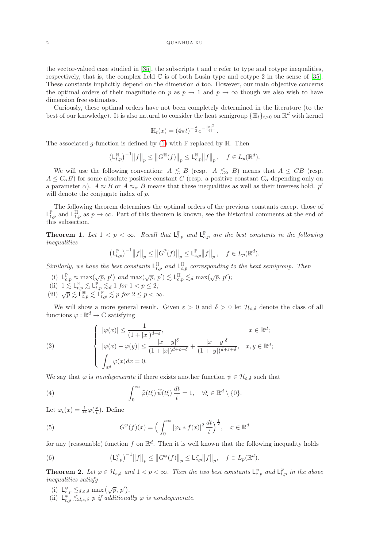the vector-valued case studied in [\[35\]](#page-22-0), the subscripts t and c refer to type and cotype inequalities, respectively, that is, the complex field  $\mathbb C$  is of both Lusin type and cotype 2 in the sense of [\[35\]](#page-22-0). These constants implicitly depend on the dimension d too. However, our main objective concerns the optimal orders of their magnitude on p as  $p \to 1$  and  $p \to \infty$  though we also wish to have dimension free estimates.

Curiously, these optimal orders have not been completely determined in the literature (to the best of our knowledge). It is also natural to consider the heat semigroup  $\{\mathbb{H}_t\}_{t>0}$  on  $\mathbb{R}^d$  with kernel

$$
\mathbb{H}_t(x) = (4\pi t)^{-\frac{d}{2}} e^{-\frac{|x|^2}{4t}}.
$$

The associated g-function is defined by [\(1\)](#page-0-1) with  $\mathbb P$  replaced by  $\mathbb H$ . Then

$$
\left(\mathsf{L}^{\mathbb{H}}_{t,p}\right)^{-1}\big\|f\big\|_p\leq \big\|G^{\mathbb{H}}(f)\big\|_p\leq \mathsf{L}^{\mathbb{H}}_{c,p}\big\|f\big\|_p\,,\quad f\in L_p(\mathbb{R}^d).
$$

We will use the following convention:  $A \leq B$  (resp.  $A \leq_{\alpha} B$ ) means that  $A \leq CB$  (resp.  $A \leq C_{\alpha}B$ ) for some absolute positive constant C (resp. a positive constant  $C_{\alpha}$  depending only on a parameter  $\alpha$ ).  $A \approx B$  or  $A \approx_{\alpha} B$  means that these inequalities as well as their inverses hold. p' will denote the conjugate index of  $p$ .

The following theorem determines the optimal orders of the previous constants except those of  $L_{t,p}^{\mathbb{P}}$  and  $L_{t,p}^{\mathbb{H}}$  as  $p \to \infty$ . Part of this theorem is known, see the historical comments at the end of this subsection.

<span id="page-1-2"></span>**Theorem 1.** Let  $1 < p < \infty$ . Recall that  $L_{t,p}^{\mathbb{P}}$  and  $L_{c,p}^{\mathbb{P}}$  are the best constants in the following inequalities

$$
\left(\mathsf{L}^{\mathbb{P}}_{t,p}\right)^{-1} \left\|f\right\|_{p} \leq \left\|G^{\mathbb{P}}(f)\right\|_{p} \leq \mathsf{L}^{\mathbb{P}}_{c,p} \left\|f\right\|_{p}, \quad f \in L_{p}(\mathbb{R}^{d}).
$$

Similarly, we have the best constants  $L_{t,p}^{\mathbb{H}}$  and  $L_{c,p}^{\mathbb{H}}$  corresponding to the heat semigroup. Then

- (i)  $\mathsf{L}_{c,p}^{\mathbb{P}} \approx \max(\sqrt{p}, p')$  and  $\max(\sqrt{p}, p') \lesssim \mathsf{L}_{c,p}^{\mathbb{H}} \lesssim_d \max(\sqrt{p}, p')$ ;
- (ii)  $1 \leq \mathsf{L}_{t,p}^{\mathbb{H}} \leq \mathsf{L}_{t,p}^{\mathbb{P}} \leq d \; 1 \; \text{for} \; 1 < p \leq 2;$
- (iii)  $\sqrt{p} \lesssim L^{\mathbb{H}}_{t,p} \lesssim L^{\mathbb{P}}_{t,p} \lesssim p$  for  $2 \leq p < \infty$ .

We will show a more general result. Given  $\varepsilon > 0$  and  $\delta > 0$  let  $\mathcal{H}_{\varepsilon,\delta}$  denote the class of all functions  $\varphi : \mathbb{R}^d \to \mathbb{C}$  satisfying

<span id="page-1-3"></span>(3) 
$$
\begin{cases} |\varphi(x)| \leq \frac{1}{(1+|x|)^{d+\varepsilon}}, & x \in \mathbb{R}^d; \\ |\varphi(x) - \varphi(y)| \leq \frac{|x-y|^{\delta}}{(1+|x|)^{d+\varepsilon+\delta}} + \frac{|x-y|^{\delta}}{(1+|y|)^{d+\varepsilon+\delta}}, & x, y \in \mathbb{R}^d; \\ \int_{\mathbb{R}^d} \varphi(x) dx = 0. \end{cases}
$$

We say that  $\varphi$  is *nondegenerate* if there exists another function  $\psi \in \mathcal{H}_{\varepsilon,\delta}$  such that

<span id="page-1-4"></span>(4) 
$$
\int_0^\infty \widehat{\varphi}(t\xi) \widehat{\psi}(t\xi) \frac{dt}{t} = 1, \quad \forall \xi \in \mathbb{R}^d \setminus \{0\}.
$$

Let  $\varphi_t(x) = \frac{1}{t^d} \varphi(\frac{x}{t})$ . Define

<span id="page-1-5"></span>(5) 
$$
G^{\varphi}(f)(x) = \left(\int_0^{\infty} |\varphi_t * f(x)|^2 \frac{dt}{t}\right)^{\frac{1}{2}}, \quad x \in \mathbb{R}^d
$$

for any (reasonable) function f on  $\mathbb{R}^d$ . Then it is well known that the following inequality holds

<span id="page-1-0"></span>(6) 
$$
\left(\mathsf{L}^{\varphi}_{t,p}\right)^{-1} \left\|f\right\|_{p} \leq \left\|G^{\varphi}(f)\right\|_{p} \leq \mathsf{L}^{\varphi}_{c,p} \left\|f\right\|_{p}, \quad f \in L_{p}(\mathbb{R}^{d}).
$$

<span id="page-1-1"></span>**Theorem 2.** Let  $\varphi \in \mathcal{H}_{\varepsilon,\delta}$  and  $1 < p < \infty$ . Then the two best constants  $L^{\varphi}_{\varepsilon,p}$  and  $L^{\varphi}_{t,p}$  in the above inequalities satisfy

- (i)  $L_{c,p}^{\varphi} \lesssim_{d,\varepsilon,\delta} \max(\sqrt{p},p').$
- (ii)  $L_{t,p}^{\varphi} \lesssim_{d,\varepsilon,\delta} p$  if additionally  $\varphi$  is nondegenerate.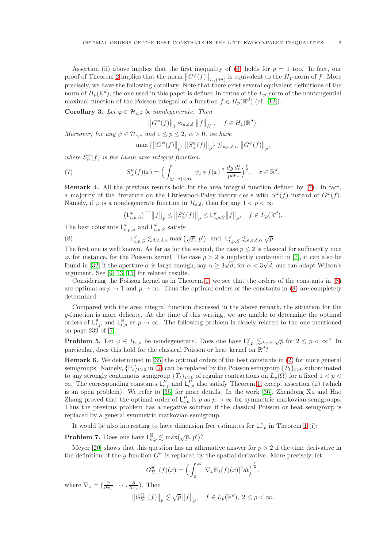Assertion (ii) above implies that the first inequality of [\(6\)](#page-1-0) holds for  $p = 1$  too. In fact, our proof of Theorem [2](#page-1-1) implies that the norm  $||G^{\varphi}(f)||_{L_1(\mathbb{R}^d)}$  is equivalent to the  $H_1$ -norm of f. More precisely, we have the following corollary. Note that there exist several equivalent definitions of the norm of  $H_p(\mathbb{R}^d)$ ; the one used in this paper is defined in terms of the  $L_p$ -norm of the nontangential maximal function of the Poisson integral of a function  $f \in H_p(\mathbb{R}^d)$  (cf. [\[12\]](#page-21-1)).

<span id="page-2-2"></span>Corollary 3. Let  $\varphi \in \mathcal{H}_{\varepsilon,\delta}$  be nondegenerate. Then

$$
||G^{\varphi}(f)||_1 \approx_{d,\varepsilon,\delta} ||f||_{H_1}, \quad f \in H_1(\mathbb{R}^d).
$$

Moreover, for any  $\psi \in \mathcal{H}_{\varepsilon,\delta}$  and  $1 \leq p \leq 2$ ,  $\alpha > 0$ , we have

<span id="page-2-0"></span>
$$
\max\left\{ \left\|G^{\psi}(f)\right\|_{p},\,\left\|S^{\psi}_{\alpha}(f)\right\|_{p} \right\} \lesssim_{d,\varepsilon,\delta,\alpha} \left\|G^{\varphi}(f)\right\|_{p},
$$

where  $S_{\alpha}^{\psi}(f)$  is the Lusin area integral function:

(7) 
$$
S_{\alpha}^{\psi}(f)(x) = \left(\int_{|y-x| < \alpha t} |\psi_t * f(x)|^2 \frac{dy \, dt}{t^{d+1}}\right)^{\frac{1}{2}}, \quad x \in \mathbb{R}^d.
$$

Remark 4. All the previous results hold for the area integral function defined by [\(7\)](#page-2-0). In fact, a majority of the literature on the Littlewood-Paley theory deals with  $S^{\varphi}(f)$  instead of  $G^{\varphi}(f)$ . Namely, if  $\varphi$  is a nondegenerate function in  $\mathcal{H}_{\varepsilon,\delta}$ , then for any  $1 < p < \infty$ 

<span id="page-2-1"></span>
$$
\left(\mathsf{L}^{\varphi}_{t,p,S}\right)^{-1} \left\|f\right\|_{p} \leq \left\|S^{\varphi}_{\alpha}(f)\right\|_{p} \leq \mathsf{L}^{\varphi}_{c,p,S} \left\|f\right\|_{p}, \quad f \in L_{p}(\mathbb{R}^{d}).
$$

The best constants  $L_{c,p,S}^{\varphi}$  and  $L_{t,p,S}^{\varphi}$  satisfy

(8) L  $\mathcal{L}_{c,p,S}^{\varphi} \lesssim_{d,\varepsilon,\delta,\alpha} \max(\sqrt{p},p')$  and  $L_{t,p,S}^{\varphi} \lesssim_{d,\varepsilon,\delta,\alpha} \sqrt{p}$ .

The first one is well known. As far as for the second, the case  $p \leq 2$  is classical for sufficiently nice  $\varphi$ , for instance, for the Poisson kernel. The case  $p > 2$  is implicitly contained in [\[7\]](#page-21-2), it can also be found in [\[32\]](#page-22-1) if the aperture  $\alpha$  is large enough, say  $\alpha \ge 3\sqrt{d}$ ; for  $\alpha < 3\sqrt{d}$ , one can adapt Wilson's argument. See [\[9,](#page-21-3) [13,](#page-21-4) [15\]](#page-21-5) for related results.

Considering the Poisson kernel as in Theorem [1,](#page-1-2) we see that the orders of the constants in [\(8\)](#page-2-1) are optimal as  $p \to 1$  and  $p \to \infty$ . Thus the optimal orders of the constants in [\(8\)](#page-2-1) are completely determined.

Compared with the area integral function discussed in the above remark, the situation for the g-function is more delicate. At the time of this writing, we are unable to determine the optimal orders of  $\mathsf{L}_{t,p}^{\mathbb{F}}$  and  $\mathsf{L}_{t,p}^{\mathbb{F}}$  as  $p \to \infty$ . The following problem is closely related to the one mentioned on page 239 of [\[7\]](#page-21-2).

<span id="page-2-3"></span>**Problem 5.** Let  $\varphi \in \mathcal{H}_{\varepsilon,\delta}$  be nondegenerate. Does one have  $\mathsf{L}^{\varphi}_{t,p} \lesssim_{d,\varepsilon,\delta} \sqrt{p}$  for  $2 \leq p < \infty$ ? In particular, does this hold for the classical Poisson or heat kernel on  $\mathbb{R}^d$ ?

Remark 6. We determined in [\[35\]](#page-22-0) the optimal orders of the best constants in [\(2\)](#page-0-0) for more general semigroups. Namely,  $\{\mathbb{P}_t\}_{t>0}$  in [\(2\)](#page-0-0) can be replaced by the Poisson semigroup  $\{P_t\}_{t>0}$  subordinated to any strongly continuous semigroup  $\{T_t\}_{t>0}$  of regular contractions on  $L_p(\Omega)$  for a fixed  $1 < p <$  $\infty$ . The corresponding constants  $L_{c,p}^P$  and  $L_{t,p}^P$  also satisfy Theorem [1,](#page-1-2) except assertion (ii) (which is an open problem). We refer to [\[35\]](#page-22-0) for more details. In the work [\[36\]](#page-22-2), Zhendong Xu and Hao Zhang proved that the optimal order of  $\mathsf{L}_{t,p}^P$  is p as  $p \to \infty$  for symmetric markovian semigroups. Thus the previous problem has a negative solution if the classical Poisson or heat semigroup is replaced by a general symmetric markovian semigroup.

It would be also interesting to have dimension free estimates for  $L_{c,p}^{\mathbb{H}}$  in Theorem [1](#page-1-2) (i):

**Problem 7.** Does one have  $L_{c,p}^{\mathbb{H}} \lesssim \max(\sqrt{p}, p')$ ?

Meyer [\[20\]](#page-21-6) shows that this question has an affirmative answer for  $p > 2$  if the time derivative in the definition of the g-function  $G^{\mathbb{H}}$  is replaced by the spatial derivative. More precisely, let

$$
G_{\nabla_x}^{\mathbb{H}}(f)(x) = \left(\int_0^\infty |\nabla_x \mathbb{H}_t(f)(x)|^2 dt\right)^{\frac{1}{2}},
$$

where  $\nabla_x = (\frac{\partial}{\partial x_1}, \cdots, \frac{\partial}{\partial x_d})$ . Then

$$
\left\|G_{\nabla_x}^{\mathbb{H}}(f)\right\|_p\lesssim \sqrt{p}\left\|f\right\|_p,\quad f\in L_p(\mathbb{R}^d),\;2\leq p<\infty.
$$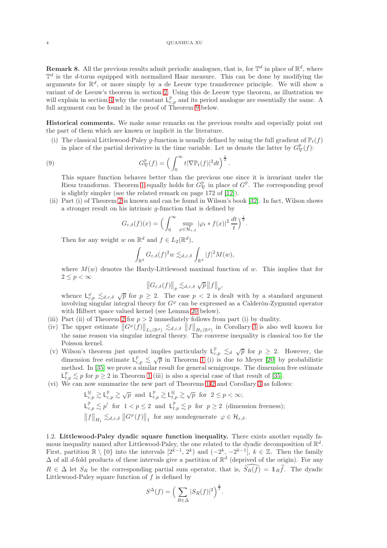4 QUANHUA XU

<span id="page-3-0"></span>**Remark 8.** All the previous results admit periodic analogues, that is, for  $\mathbb{T}^d$  in place of  $\mathbb{R}^d$ , where  $\mathbb{T}^d$  is the d-torus equipped with normalized Haar measure. This can be done by modifying the arguments for  $\mathbb{R}^d$ , or more simply by a de Leeuw type transference principle. We will show a variant of de Leeuw's theorem in section [2.](#page-5-0) Using this de Leeuw type theorem, as illustration we will explain in section [4](#page-13-0) why the constant  $L_{c,p}^{\mathbb{P}}$  and its period analogue are essentially the same. A full argument can be found in the proof of Theorem [9](#page-4-0) below.

Historical comments. We make some remarks on the previous results and especially point out the part of them which are known or implicit in the literature.

(i) The classical Littlewood-Paley q-function is usually defined by using the full gradient of  $\mathbb{P}_t(f)$ in place of the partial derivative in the time variable. Let us denote the latter by  $G^{\mathbb{P}}_{\nabla}(f)$ :

(9) 
$$
G_{\nabla}^{\mathbb{P}}(f) = \left(\int_0^\infty t |\nabla \mathbb{P}_t(f)|^2 dt\right)^{\frac{1}{2}}.
$$

This square function behaves better than the previous one since it is invariant under the Riesz transforms. Theorem [1](#page-1-2) equally holds for  $G^{\mathbb{P}}_{\nabla}$  in place of  $G^{\mathbb{P}}$ . The corresponding proof is slightly simpler (see the related remark on page 172 of [\[12\]](#page-21-1)).

(ii) Part (i) of Theorem [2](#page-1-1) is known and can be found in Wilson's book [\[32\]](#page-22-1). In fact, Wilson shows a stronger result on his intrinsic g-function that is defined by

<span id="page-3-1"></span>
$$
G_{\varepsilon,\delta}(f)(x) = \Big(\int_0^\infty \sup_{\varphi \in \mathcal{H}_{\varepsilon,\delta}} |\varphi_t * f(x)|^2 \, \frac{dt}{t}\Big)^{\frac{1}{2}}.
$$

Then for any weight w on  $\mathbb{R}^d$  and  $f \in L_2(\mathbb{R}^d)$ ,

$$
\int_{\mathbb{R}^d} G_{\varepsilon,\delta}(f)^2 w \lesssim_{d,\varepsilon,\delta} \int_{\mathbb{R}^d} |f|^2 M(w),
$$

where  $M(w)$  denotes the Hardy-Littlewood maximal function of w. This implies that for  $2 \leq p < \infty$ 

$$
\left\|G_{\varepsilon,\delta}(f)\right\|_p \lesssim_{d,\varepsilon,\delta} \sqrt{p} \left\|f\right\|_p,
$$

whence  $\mathsf{L}_{c,p}^{\varphi} \leq_{d,\varepsilon,\delta} \sqrt{p}$  for  $p \geq 2$ . The case  $p < 2$  is dealt with by a standard argument involving singular integral theory for  $G^{\varphi}$  can be expressed as a Calderón-Zygmund operator with Hilbert space valued kernel (see Lemma [20](#page-8-0) below).

- (iii) Part (ii) of Theorem [2](#page-1-1) for  $p > 2$  immediately follows from part (i) by duality.
- (iv) The upper estimate  $||G^{\varphi}(f)||_{L_1(\mathbb{R}^d)} \lesssim_{d,\varepsilon,\delta} ||f||_{H_1(\mathbb{R}^d)}$  in Corollary [3](#page-2-2) is also well known for the same reason via singular integral theory. The converse inequality is classical too for the Poisson kernel.
- (v) Wilson's theorem just quoted implies particularly  $\mathsf{L}_{c,p}^{\mathbb{P}} \leq_{d} \sqrt{p}$  for  $p \geq 2$ . However, the dimension free estimate  $L_{c,p}^{\mathbb{P}} \leq \sqrt{p}$  in Theorem [1](#page-1-2) (i) is due to Meyer [\[20\]](#page-21-6) by probabilistic method. In [\[35\]](#page-22-0) we prove a similar result for general semigroups. The dimension free estimate  $\mathsf{L}_{t,p}^{\mathbb{P}} \lesssim p$  for  $p \geq 2$  in Theorem [1](#page-1-2) (iii) is also a special case of that result of [\[35\]](#page-22-0).
- (vi) We can now summarize the new part of Theorems [1](#page-1-2)[-2](#page-1-1) and Corollary [3](#page-2-2) as follows:

$$
\begin{aligned}\n\mathsf{L}_{c,p}^{\mathbb{H}} &\gtrsim \mathsf{L}_{c,p}^{\mathbb{P}} \gtrsim \sqrt{p} \quad \text{and} \quad \mathsf{L}_{t,p}^{\mathbb{P}} \gtrsim \mathsf{L}_{t,p}^{\mathbb{H}} \gtrsim \sqrt{p} \quad \text{for} \quad 2 \leq p < \infty; \\
\mathsf{L}_{c,p}^{\mathbb{P}} &\lesssim p' \quad \text{for} \quad 1 < p \leq 2 \quad \text{and} \quad \mathsf{L}_{t,p}^{\mathbb{P}} \lesssim p \quad \text{for} \quad p \geq 2 \quad \text{(dimension freeness)}; \\
\|f\|_{H_1} &\lesssim_{d,\varepsilon,\delta} \|G^{\varphi}(f)\|_{1} \quad \text{for any nondegenerate} \quad \varphi \in \mathcal{H}_{\varepsilon,\delta}.\n\end{aligned}
$$

1.2. Littlewood-Paley dyadic square function inequality. There exists another equally famous inequality named after Littlewood-Paley, the one related to the dyadic decomposition of  $\mathbb{R}^d$ . First, partition  $\mathbb{R} \setminus \{0\}$  into the intervals  $[2^{k-1}, 2^k)$  and  $(-2^k, -2^{k-1}]$ ,  $k \in \mathbb{Z}$ . Then the family  $\Delta$  of all d-fold products of these intervals give a partition of  $\mathbb{R}^d$  (deprived of the origin). For any  $R \in \Delta$  let  $S_R$  be the corresponding partial sum operator, that is,  $\widehat{S_R(f)} = 1\hbar\widehat{f}$ . The dyadic Littlewood-Paley square function of  $f$  is defined by

$$
S^{\Delta}(f) = \left(\sum_{R \in \Delta} |S_R(f)|^2\right)^{\frac{1}{2}}.
$$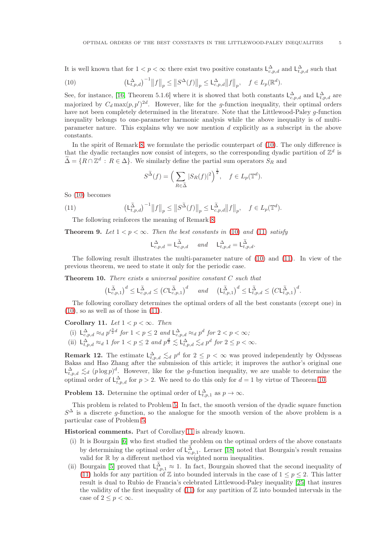It is well known that for  $1 < p < \infty$  there exist two positive constants  $\mathsf{L}^{\Delta}_{c,p,d}$  and  $\mathsf{L}^{\Delta}_{t,p,d}$  such that

<span id="page-4-1"></span>(10) 
$$
\left(\mathsf{L}^{\Delta}_{t,p,d}\right)^{-1} \big\|f\big\|_p \leq \big\|S^{\Delta}(f)\big\|_p \leq \mathsf{L}^{\Delta}_{c,p,d} \big\|f\big\|_p, \quad f \in L_p(\mathbb{R}^d).
$$

See, for instance, [\[16,](#page-21-7) Theorem 5.1.6] where it is showed that both constants  $L_{c,p,d}^{\Delta}$  and  $L_{t,p,d}^{\Delta}$  are majorized by  $C_d \max(p, p')^{2d}$ . However, like for the g-function inequality, their optimal orders have not been completely determined in the literature. Note that the Littlewood-Paley g-function inequality belongs to one-parameter harmonic analysis while the above inequality is of multiparameter nature. This explains why we now mention d explicitly as a subscript in the above constants.

In the spirit of Remark [8,](#page-3-0) we formulate the periodic counterpart of [\(10\)](#page-4-1). The only difference is that the dyadic rectangles now consist of integers, so the corresponding dyadic partition of  $\mathbb{Z}^d$  is  $\widetilde{\Delta} = \{ R \cap \mathbb{Z}^d : R \in \Delta \}.$  We similarly define the partial sum operators  $S_R$  and

<span id="page-4-2"></span>
$$
S^{\widetilde{\Delta}}(f) = \left(\sum_{R \in \widetilde{\Delta}} |S_R(f)|^2\right)^{\frac{1}{2}}, \quad f \in L_p(\mathbb{T}^d).
$$

So [\(10\)](#page-4-1) becomes

(11) 
$$
\left(\mathsf{L}_{t,p,d}^{\widetilde{\Delta}}\right)^{-1} \left\|f\right\|_p \leq \left\|S^{\widetilde{\Delta}}(f)\right\|_p \leq \mathsf{L}_{c,p,d}^{\widetilde{\Delta}} \left\|f\right\|_p, \quad f \in L_p(\mathbb{T}^d).
$$

The following reinforces the meaning of Remark [8.](#page-3-0)

<span id="page-4-0"></span>**Theorem 9.** Let  $1 < p < \infty$ . Then the best constants in [\(10\)](#page-4-1) and [\(11\)](#page-4-2) satisfy

$$
\mathsf{L}^\Delta_{c,p,d}=\mathsf{L}^{\widetilde{\Delta}}_{c,p,d}\quad\text{ and }\quad\mathsf{L}^\Delta_{t,p,d}=\mathsf{L}^{\widetilde{\Delta}}_{t,p,d}.
$$

The following result illustrates the multi-parameter nature of [\(10\)](#page-4-1) and [\(11\)](#page-4-2). In view of the previous theorem, we need to state it only for the periodic case.

<span id="page-4-3"></span>**Theorem 10.** There exists a universal positive constant  $C$  such that

$$
\left(\mathsf{L}^{\widetilde{\Delta}}_{c,p,1}\right)^d \leq \mathsf{L}^{\widetilde{\Delta}}_{c,p,d} \leq \left(C\mathsf{L}^{\widetilde{\Delta}}_{c,p,1}\right)^d \quad \text{and} \quad \left(\mathsf{L}^{\widetilde{\Delta}}_{t,p,1}\right)^d \leq \mathsf{L}^{\widetilde{\Delta}}_{t,p,d} \leq \left(C\mathsf{L}^{\widetilde{\Delta}}_{t,p,1}\right)^d.
$$

The following corollary determines the optimal orders of all the best constants (except one) in  $(10)$ , so as well as of those in  $(11)$ .

<span id="page-4-4"></span>Corollary 11. Let  $1 < p < \infty$ . Then

- (i)  $L^{\Delta}_{c,p,d} \approx_d p'^{\frac{3}{2}d}$  for  $1 < p \leq 2$  and  $L^{\Delta}_{c,p,d} \approx_d p^d$  for  $2 < p < \infty$ ;
- (ii)  $L^{\Delta}_{t,p,d} \approx_d 1$  for  $1 < p \leq 2$  and  $p^{\frac{d}{2}} \lesssim L^{\Delta}_{t,p,d} \lesssim_d p^d$  for  $2 \leq p < \infty$ .

**Remark 12.** The estimate  $\mathsf{L}_{t,p,d}^{\Delta} \leq d p^d$  for  $2 \leq p < \infty$  was proved independently by Odysseas Bakas and Hao Zhang after the submission of this article; it improves the author's original one  $\mathsf{L}^{\Delta}_{t,p,d} \lesssim_d (p \log p)^d$ . However, like for the g-function inequality, we are unable to determine the optimal order of  $\mathsf{L}^{\Delta}_{t,p,d}$  for  $p > 2$ . We need to do this only for  $d = 1$  by virtue of Theorem [10.](#page-4-3)

**Problem 13.** Determine the optimal order of  $L^{\Delta}_{t,p,1}$  as  $p \to \infty$ .

This problem is related to Problem [5.](#page-2-3) In fact, the smooth version of the dyadic square function  $S^{\Delta}$  is a discrete g-function, so the analogue for the smooth version of the above problem is a particular case of Problem [5.](#page-2-3)

Historical comments. Part of Corollary [11](#page-4-4) is already known.

- (i) It is Bourgain [\[6\]](#page-21-8) who first studied the problem on the optimal orders of the above constants by determining the optimal order of  $L^{\tilde{\Delta}}_{c,p,1}$ . Lerner [\[18\]](#page-21-9) noted that Bourgain's result remains valid for  $\mathbb R$  by a different method via weighted norm inequalities.
- (ii) Bourgain [\[5\]](#page-21-10) proved that  $L^{\tilde{\Delta}}_{t,p,1} \approx 1$ . In fact, Bourgain showed that the second inequality of [\(11\)](#page-4-2) holds for any partition of  $\mathbb Z$  into bounded intervals in the case of  $1 \leq p \leq 2$ . This latter result is dual to Rubio de Francia's celebrated Littlewood-Paley inequality [\[25\]](#page-21-11) that insures the validity of the first inequality of  $(11)$  for any partition of  $\mathbb Z$  into bounded intervals in the case of  $2 \leq p < \infty$ .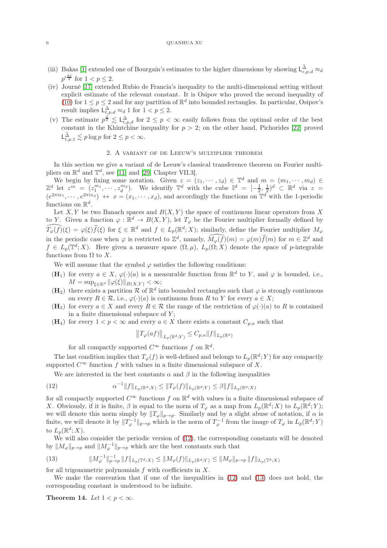#### 6 QUANHUA XU

- (iii) Bakas [\[1\]](#page-21-12) extended one of Bourgain's estimates to the higher dimensions by showing  $\mathsf{L}_{c,p,d}^{\tilde{\Delta}} \approx_d$  $p'^{\frac{3d}{2}}$  for  $1 < p \leq 2$ .
- (iv) Journé [\[17\]](#page-21-13) extended Rubio de Francia's inequality to the multi-dimensional setting without explicit estimate of the relevant constant. It is Osipov who proved the second inequality of [\(10\)](#page-4-1) for  $1 \leq p \leq 2$  and for any partition of  $\mathbb{R}^d$  into bounded rectangles. In particular, Osipov's result implies  $\mathsf{L}^{\Delta}_{t,p,d} \approx_d 1$  for  $1 < p \leq 2$ .
- (v) The estimate  $p^{\frac{d}{2}} \lesssim L_{t,p,d}^{\Delta}$  for  $2 \leq p < \infty$  easily follows from the optimal order of the best constant in the Khintchine inequality for  $p > 2$ ; on the other hand, Pichorides [\[22\]](#page-21-14) proved  $\mathsf{L}^{\widetilde{\Delta}}_{t,p,1} \lesssim p \log p$  for  $2 \leq p < \infty$ .

## 2. A variant of de Leeuw's multiplier theorem

<span id="page-5-0"></span>In this section we give a variant of de Leeuw's classical transference theorem on Fourier multipliers on  $\mathbb{R}^d$  and  $\mathbb{T}^d$ , see [\[11\]](#page-21-15) and [\[29,](#page-22-3) Chapter VII.3].

We begin by fixing some notation. Given  $z = (z_1, \dots, z_d) \in \mathbb{T}^d$  and  $m = (m_1, \dots, m_d) \in \mathbb{Z}^d$  let  $z^m = (z_1^{m_1}, \dots, z_d^{m_d})$ . We identify  $\mathbb{T}^d$  with the cube  $\mathbb{I}^d = [-\frac{1}{2}, \frac{1}{2})^d \subset \mathbb{R}^d$  via  $z =$  $(e^{2\pi i x_1}, \dots, e^{2\pi i x_d}) \leftrightarrow x = (x_1, \dots, x_d)$ , and accordingly the functions on  $\mathbb{T}^d$  with the 1-periodic functions on  $\mathbb{R}^d$ .

Let  $X, Y$  be two Banach spaces and  $B(X, Y)$  the space of continuous linear operators from X to Y. Given a function  $\varphi : \mathbb{R}^d \to B(X, Y)$ , let  $T_{\varphi}$  be the Fourier multiplier formally defined by  $\widehat{T_{\varphi}(f)}(\xi) = \varphi(\xi)\widehat{f}(\xi)$  for  $\xi \in \mathbb{R}^d$  and  $f \in L_p(\mathbb{R}^d; X)$ ; similarly, define the Fourier multiplier  $M_{\varphi}$ in the periodic case when  $\varphi$  is restricted to  $\mathbb{Z}^d$ , namely,  $\widehat{M_{\varphi}(f)}(m) = \varphi(m)\widehat{f}(m)$  for  $m \in \mathbb{Z}^d$  and  $f \in L_p(\mathbb{T}^d; X)$ . Here given a measure space  $(\Omega, \mu)$ ,  $L_p(\Omega; X)$  denote the space of p-integrable functions from  $\Omega$  to X.

We will assume that the symbol  $\varphi$  satisfies the following conditions:

- (H<sub>1</sub>) for every  $a \in X$ ,  $\varphi(\cdot)(a)$  is a measurable function from  $\mathbb{R}^d$  to Y, and  $\varphi$  is bounded, i.e.,  $M = \sup_{\xi \in \mathbb{R}^d} \|\varphi(\xi)\|_{B(X,Y)} < \infty;$
- (H<sub>2</sub>) there exists a partition  $\mathcal{R}$  of  $\mathbb{R}^d$  into bounded rectangles such that  $\varphi$  is strongly continuous on every  $R \in \mathcal{R}$ , i.e.,  $\varphi(\cdot)(a)$  is continuous from R to Y for every  $a \in X$ ;
- $(H_3)$  for every  $a \in X$  and every  $R \in \mathcal{R}$  the range of the restriction of  $\varphi(\cdot)(a)$  to R is contained in a finite dimensional subspace of  $Y$ ;
- (H<sub>4</sub>) for every  $1 < p < \infty$  and every  $a \in X$  there exists a constant  $C_{p,a}$  such that

<span id="page-5-1"></span>
$$
||T_{\varphi}(af)||_{L_p(\mathbb{R}^d;Y)} \leq C_{p,a}||f||_{L_p(\mathbb{R}^d)}
$$

for all compactly supported  $C^{\infty}$  functions f on  $\mathbb{R}^d$ .

The last condition implies that  $T_{\varphi}(f)$  is well-defined and belongs to  $L_p(\mathbb{R}^d;Y)$  for any compactly supported  $C^{\infty}$  function f with values in a finite dimensional subspace of X.

We are interested in the best constants  $\alpha$  and  $\beta$  in the following inequalities

(12) 
$$
\alpha^{-1} \|f\|_{L_p(\mathbb{R}^d;X)} \le \|T_\varphi(f)\|_{L_p(\mathbb{R}^d;Y)} \le \beta \|f\|_{L_p(\mathbb{R}^d;X)}
$$

for all compactly supported  $C^{\infty}$  functions f on  $\mathbb{R}^d$  with values in a finite dimensional subspace of X. Obviously, if it is finite,  $\beta$  is equal to the norm of  $T_{\varphi}$  as a map from  $L_p(\mathbb{R}^d;X)$  to  $L_p(\mathbb{R}^d;Y)$ ; we will denote this norm simply by  $||T_{\varphi}||_{p\to p}$ . Similarly and by a slight abuse of notation, if  $\alpha$  is finite, we will denote it by  $||T_{\varphi}^{-1}||_{p\to p}$  which is the norm of  $T_{\varphi}^{-1}$  from the image of  $T_{\varphi}$  in  $L_p(\mathbb{R}^d; Y)$ to  $L_p(\mathbb{R}^d;X)$ .

We will also consider the periodic version of [\(12\)](#page-5-1), the corresponding constants will be denoted by  $||M_{\varphi}||_{p\to p}$  and  $||M_{\varphi}^{-1}||_{p\to p}$  which are the best constants such that

<span id="page-5-2"></span>(13) 
$$
||M_{\varphi}^{-1}||_{p\to p}^{-1} ||f||_{L_p(\mathbb{T}^d;X)} \leq ||M_{\varphi}(f)||_{L_p(\mathbb{R}^d;Y)} \leq ||M_{\varphi}||_{p\to p} ||f||_{L_p(\mathbb{T}^d;X)}
$$

for all trigonometric polynomials  $f$  with coefficients in  $X$ .

We make the convention that if one of the inequalities in [\(12\)](#page-5-1) and [\(13\)](#page-5-2) does not hold, the corresponding constant is understood to be infinite.

<span id="page-5-3"></span>Theorem 14. Let  $1 < p < \infty$ .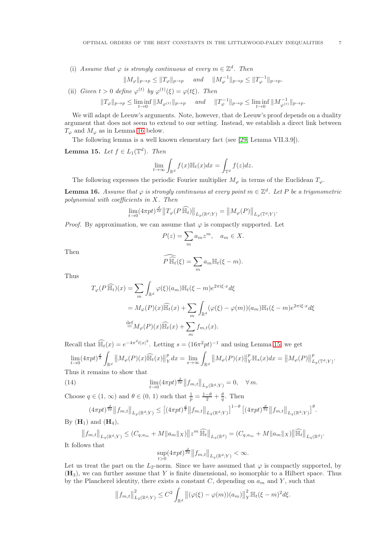(i) Assume that  $\varphi$  is strongly continuous at every  $m \in \mathbb{Z}^d$ . Then

$$
||M_{\varphi}||_{p\to p} \le ||T_{\varphi}||_{p\to p} \quad \text{and} \quad ||M_{\varphi}^{-1}||_{p\to p} \le ||T_{\varphi}^{-1}||_{p\to p}.
$$

(ii) Given  $t > 0$  define  $\varphi^{(t)}$  by  $\varphi^{(t)}(\xi) = \varphi(t\xi)$ . Then

$$
||T_{\varphi}||_{p\to p} \le \liminf_{t\to 0} ||M_{\varphi^{(t)}}||_{p\to p} \quad \text{and} \quad ||T_{\varphi}^{-1}||_{p\to p} \le \liminf_{t\to 0} ||M_{\varphi^{(t)}}^{-1}||_{p\to p}.
$$

We will adapt de Leeuw's arguments. Note, however, that de Leeuw's proof depends on a duality argument that does not seem to extend to our setting. Instead, we establish a direct link between  $T_{\varphi}$  and  $M_{\varphi}$  as in Lemma [16](#page-6-0) below.

The following lemma is a well known elementary fact (see [\[29,](#page-22-3) Lemma VII.3.9]).

<span id="page-6-1"></span>**Lemma 15.** Let  $f \in L_1(\mathbb{T}^d)$ . Then

$$
\lim_{t \to \infty} \int_{\mathbb{R}^d} f(x) \mathbb{H}_t(x) dx = \int_{\mathbb{T}^d} f(z) dz.
$$

The following expresses the periodic Fourier multiplier  $M_{\varphi}$  in terms of the Euclidean  $T_{\varphi}$ .

<span id="page-6-0"></span>**Lemma 16.** Assume that  $\varphi$  is strongly continuous at every point  $m \in \mathbb{Z}^d$ . Let P be a trigonometric polynomial with coefficients in X. Then

$$
\lim_{t \to 0} (4\pi pt)^{\frac{d}{2p}} \|T_{\varphi}(P\widehat{\mathbb{H}_t})\|_{L_p(\mathbb{R}^d;Y)} = \|M_{\varphi}(P)\|_{L_p(\mathbb{T}^d;Y)}
$$

.

*Proof.* By approximation, we can assume that  $\varphi$  is compactly supported. Let

$$
P(z) = \sum_{m} a_m z^m, \quad a_m \in X.
$$

Then

$$
\widehat{P\,\mathbb{H}_t}(\xi) = \sum_m a_m \mathbb{H}_t(\xi - m).
$$

Thus

$$
T_{\varphi}(P \widehat{\mathbb{H}_t})(x) = \sum_{m} \int_{\mathbb{R}^d} \varphi(\xi)(a_m) \mathbb{H}_t(\xi - m) e^{2\pi i \xi \cdot x} d\xi
$$
  

$$
= M_{\varphi}(P)(x) \widehat{\mathbb{H}_t}(x) + \sum_{m} \int_{\mathbb{R}^d} (\varphi(\xi) - \varphi(m))(a_m) \mathbb{H}_t(\xi - m) e^{2\pi i \xi \cdot x} d\xi
$$
  

$$
\stackrel{\text{def}}{=} M_{\varphi}(P)(x) \widehat{\mathbb{H}_t}(x) + \sum_{m} f_{m,t}(x).
$$

Recall that  $\widehat{\mathbb{H}_t}(x) = e^{-4\pi^2 t|x|^2}$ . Letting  $s = (16\pi^2 pt)^{-1}$  and using Lemma [15,](#page-6-1) we get

$$
\lim_{t \to 0} (4\pi pt)^{\frac{d}{2}} \int_{\mathbb{R}^d} \|M_{\varphi}(P)(x)\widehat{\mathbb{H}_t}(x)\|_{Y}^p dx = \lim_{s \to \infty} \int_{\mathbb{R}^d} \|M_{\varphi}(P)(x)\|_{Y}^p \mathbb{H}_s(x) dx = \|M_{\varphi}(P)\|_{L_p(\mathbb{T}^d;Y)}^p.
$$

Thus it remains to show that

(14) 
$$
\lim_{t \to 0} (4\pi pt)^{\frac{d}{2p}} ||f_{m,t}||_{L_p(\mathbb{R}^d;Y)} = 0, \quad \forall m.
$$

Choose  $q \in (1, \infty)$  and  $\theta \in (0, 1)$  such that  $\frac{1}{p} = \frac{1-\theta}{2} + \frac{\theta}{q}$ . Then

<span id="page-6-2"></span>
$$
(4\pi pt)^{\frac{d}{2p}} \|f_{m,t}\|_{L_p(\mathbb{R}^d;Y)} \le \left[ (4\pi pt)^{\frac{d}{4}} \|f_{m,t}\|_{L_2(\mathbb{R}^d;Y)} \right]^{1-\theta} \left[ (4\pi pt)^{\frac{d}{2q}} \|f_{m,t}\|_{L_q(\mathbb{R}^d;Y)} \right]^{\theta}.
$$

By  $(H_1)$  and  $(H_4)$ ,

$$
||f_{m,t}||_{L_q(\mathbb{R}^d;Y)} \le (C_{q,a_m} + M||a_m||_X) ||z^m \widehat{\mathbb{H}_t}||_{L_q(\mathbb{R}^d)} = (C_{q,a_m} + M||a_m||_X) ||\widehat{\mathbb{H}_t}||_{L_q(\mathbb{R}^d)}.
$$

It follows that

$$
\sup_{t>0} (4\pi pt)^{\frac{d}{2q}} \left\| f_{m,t} \right\|_{L_q(\mathbb{R}^d;Y)} < \infty.
$$

Let us treat the part on the  $L_2$ -norm. Since we have assumed that  $\varphi$  is compactly supported, by  $(H<sub>3</sub>)$ , we can further assume that Y is finite dimensional, so isomorphic to a Hilbert space. Thus by the Plancherel identity, there exists a constant  $C$ , depending on  $a_m$  and Y, such that

$$
||f_{m,t}||_{L_2(\mathbb{R}^d;Y)}^2 \leq C^2 \int_{\mathbb{R}^d} ||(\varphi(\xi) - \varphi(m))(a_m)||_Y^2 \mathbb{H}_t(\xi - m)^2 d\xi.
$$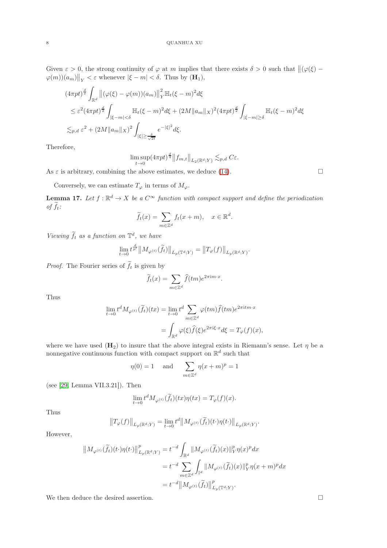Given  $\varepsilon > 0$ , the strong continuity of  $\varphi$  at m implies that there exists  $\delta > 0$  such that  $\|(\varphi(\xi) - \xi)\|$  $\left|\varphi(m)\right|_{\mathcal{H}} < \varepsilon$  whenever  $|\xi - m| < \delta$ . Thus by  $(\mathbf{H}_1)$ ,

$$
(4\pi pt)^{\frac{d}{2}} \int_{\mathbb{R}^d} ||(\varphi(\xi) - \varphi(m))(a_m)||_Y^2 \mathbb{H}_t(\xi - m)^2 d\xi
$$
  
\n
$$
\leq \varepsilon^2 (4\pi pt)^{\frac{d}{2}} \int_{|\xi - m| < \delta} \mathbb{H}_t(\xi - m)^2 d\xi + (2M ||a_m||_X)^2 (4\pi pt)^{\frac{d}{2}} \int_{|\xi - m| \geq \delta} \mathbb{H}_t(\xi - m)^2 d\xi
$$
  
\n
$$
\lesssim_{p,d} \varepsilon^2 + (2M ||a_m||_X)^2 \int_{|\xi| \geq \frac{\delta}{\sqrt{2t}}} e^{-|\xi|^2} d\xi.
$$

Therefore,

$$
\limsup_{t \to 0} (4\pi pt)^{\frac{d}{4}} ||f_{m,t}||_{L_2(\mathbb{R}^d;Y)} \lesssim_{p,d} C\varepsilon.
$$

As  $\varepsilon$  is arbitrary, combining the above estimates, we deduce [\(14\)](#page-6-2).

Conversely, we can estimate  $T_{\varphi}$  in terms of  $M_{\varphi}$ .

<span id="page-7-0"></span>**Lemma 17.** Let  $f : \mathbb{R}^d \to X$  be a  $C^{\infty}$  function with compact support and define the periodization of  $\widetilde{f}_t$ :

$$
\widetilde{f}_t(x) = \sum_{m \in \mathbb{Z}^d} f_t(x+m), \quad x \in \mathbb{R}^d.
$$

Viewing  $\tilde{f}_t$  as a function on  $\mathbb{T}^d$ , we have

$$
\lim_{t \to 0} t^{\frac{d}{p'}} \big\| M_{\varphi^{(t)}}(\widetilde{f}_t) \big\|_{L_p(\mathbb{T}^d;Y)} = \big\| T_{\varphi}(f) \big\|_{L_p(\mathbb{R}^d;Y)}
$$

.

*Proof.* The Fourier series of  $\tilde{f}_t$  is given by

$$
\widetilde{f}_t(x) = \sum_{m \in \mathbb{Z}^d} \widehat{f}(tm) e^{2\pi i m \cdot x}.
$$

Thus

$$
\lim_{t \to 0} t^d M_{\varphi^{(t)}}(\tilde{f}_t)(tx) = \lim_{t \to 0} t^d \sum_{m \in \mathbb{Z}^d} \varphi(tm) \hat{f}(tm) e^{2\pi i tm \cdot x}
$$

$$
= \int_{\mathbb{R}^d} \varphi(\xi) \hat{f}(\xi) e^{2\pi i \xi \cdot x} d\xi = T_{\varphi}(f)(x),
$$

where we have used  $(H_2)$  to insure that the above integral exists in Riemann's sense. Let  $\eta$  be a nonnegative continuous function with compact support on  $\mathbb{R}^d$  such that

$$
\eta(0) = 1
$$
 and  $\sum_{m \in \mathbb{Z}^d} \eta(x+m)^p = 1$ 

(see [\[29,](#page-22-3) Lemma VII.3.21]). Then

$$
\lim_{t \to 0} t^d M_{\varphi^{(t)}}(\tilde{f}_t)(tx)\eta(tx) = T_{\varphi}(f)(x).
$$

Thus

$$
||T_{\varphi}(f)||_{L_p(\mathbb{R}^d;Y)} = \lim_{t \to 0} t^d ||M_{\varphi^{(t)}}(\widetilde{f}_t)(t \cdot) \eta(t \cdot)||_{L_p(\mathbb{R}^d;Y)}.
$$

However,

$$
\begin{aligned}\n\left\|M_{\varphi^{(t)}}(\widetilde{f}_{t})(t\cdot)\eta(t\cdot)\right\|_{L_{p}\left(\mathbb{R}^{d};Y\right)}^{p} &=t^{-d}\int_{\mathbb{R}^{d}}\left\|M_{\varphi^{(t)}}(\widetilde{f}_{t})(x)\right\|_{Y}^{p}\eta(x)^{p}dx \\
&=t^{-d}\sum_{m\in\mathbb{Z}^{d}}\int_{\mathbb{I}^{d}}\left\|M_{\varphi^{(t)}}(\widetilde{f}_{t})(x)\right\|_{Y}^{p}\eta(x+m)^{p}dx \\
&=t^{-d}\left\|M_{\varphi^{(t)}}(\widetilde{f}_{t})\right\|_{L_{p}\left(\mathbb{T}^{d};Y\right)}^{p}.\n\end{aligned}
$$

We then deduce the desired assertion.  $\hfill \square$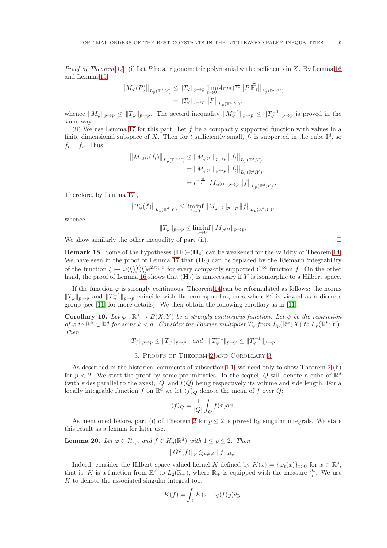*Proof of Theorem [14.](#page-5-3)* (i) Let P be a trigonometric polynomial with coefficients in X. By Lemma [16](#page-6-0) and Lemma [15](#page-6-1)

$$
||M_{\varphi}(P)||_{L_p(\mathbb{T}^d;Y)} \leq ||T_{\varphi}||_{p \to p} \lim_{t \to 0} (4\pi pt)^{\frac{d}{2p}} ||P \widehat{\mathbb{H}_t}||_{L_p(\mathbb{R}^d;Y)}
$$
  
=  $||T_{\varphi}||_{p \to p} ||P||_{L_p(\mathbb{T}^d;Y)},$ 

whence  $||M_{\varphi}||_{p\to p} \le ||T_{\varphi}||_{p\to p}$ . The second inequality  $||M_{\varphi}^{-1}||_{p\to p} \le ||T_{\varphi}^{-1}||_{p\to p}$  is proved in the same way.

(ii) We use Lemma [17](#page-7-0) for this part. Let  $f$  be a compactly supported function with values in a finite dimensional subspace of X. Then for t sufficiently small,  $f_t$  is supported in the cube  $\mathbb{I}^d$ , so  $f_t = f_t$ . Thus

$$
\begin{aligned} \left\|M_{\varphi^{(t)}}(\widetilde{f}_{t})\right\|_{L_{p}\left(\mathbb{T}^{d};Y\right)} &\leq\left\|M_{\varphi^{(t)}}\right\|_{p\rightarrow p}\left\|\widetilde{f}_{t}\right\|_{L_{p}\left(\mathbb{T}^{d};Y\right)}\\ &=\left\|M_{\varphi^{(t)}}\right\|_{p\rightarrow p}\left\|f_{t}\right\|_{L_{p}\left(\mathbb{R}^{d};Y\right)}\\ &=t^{-\frac{d}{p'}}\|M_{\varphi^{(t)}}\|_{p\rightarrow p}\left\|f\right\|_{L_{p}\left(\mathbb{R}^{d};Y\right)} \end{aligned}
$$

Therefore, by Lemma [17](#page-7-0) ,

$$
\left\|T_{\varphi}(f)\right\|_{L_{p}\left(\mathbb{R}^{d};Y\right)}\leq \liminf_{t\to 0}\left\|M_{\varphi^{(t)}}\right\|_{p\to p}\left\|f\right\|_{L_{p}\left(\mathbb{R}^{d};Y\right)},
$$

whence

$$
||T_{\varphi}||_{p\to p}\leq \liminf_{t\to 0}||M_{\varphi^{(t)}}||_{p\to p}.
$$

We show similarly the other inequality of part (ii).  $\Box$ 

<span id="page-8-1"></span>**Remark 18.** Some of the hypotheses  $(H_1)$ – $(H_4)$  can be weakened for the validity of Theorem [14.](#page-5-3) We have seen in the proof of Lemma [17](#page-7-0) that  $(H_2)$  can be replaced by the Riemann integrability of the function  $\xi \mapsto \varphi(\xi) \widehat{f}(\xi) e^{2\pi i \xi \cdot x}$  for every compactly supported  $C^{\infty}$  function f. On the other hand, the proof of Lemma [16](#page-6-0) shows that  $(H_3)$  is unnecessary if Y is isomorphic to a Hilbert space.

If the function  $\varphi$  is strongly continuous, Theorem [14](#page-5-3) can be reformulated as follows: the norms  $||T_{\varphi}||_{p\to p}$  and  $||T_{\varphi}^{-1}||_{p\to p}$  coincide with the corresponding ones when  $\mathbb{R}^d$  is viewed as a discrete group (see [\[11\]](#page-21-15) for more details). We then obtain the following corollary as in [\[11\]](#page-21-15):

<span id="page-8-2"></span>**Corollary 19.** Let  $\varphi : \mathbb{R}^d \to B(X, Y)$  be a strongly continuous function. Let  $\psi$  be the restriction of  $\varphi$  to  $\mathbb{R}^k \subset \mathbb{R}^d$  for some  $k < d$ . Consider the Fourier multiplier  $T_{\psi}$  from  $L_p(\mathbb{R}^k; X)$  to  $L_p(\mathbb{R}^k; Y)$ . Then

$$
||T_{\psi}||_{p\to p} \le ||T_{\varphi}||_{p\to p}
$$
 and  $||T_{\psi}^{-1}||_{p\to p} \le ||T_{\varphi}^{-1}||_{p\to p}$ .

### 3. Proofs of Theorem [2](#page-1-1) and Corollary [3](#page-2-2)

As described in the historical comments of subsection [1.1,](#page-0-2) we need only to show Theorem [2](#page-1-1) (ii) for  $p < 2$ . We start the proof by some preliminaries. In the sequel, Q will denote a cube of  $\mathbb{R}^d$ (with sides parallel to the axes),  $|Q|$  and  $\ell(Q)$  being respectively its volume and side length. For a locally integrable function  $f$  on  $\mathbb{R}^d$  we let  $\langle f \rangle_Q$  denote the mean of  $f$  over  $Q$ :

$$
\langle f \rangle_Q = \frac{1}{|Q|} \int_Q f(x) dx.
$$

As mentioned before, part (i) of Theorem [2](#page-1-1) for  $p \leq 2$  is proved by singular integrals. We state this result as a lemma for later use.

<span id="page-8-0"></span>**Lemma 20.** Let  $\varphi \in \mathcal{H}_{\varepsilon,\delta}$  and  $f \in H_p(\mathbb{R}^d)$  with  $1 \leq p \leq 2$ . Then

$$
||G^{\varphi}(f)||_p \lesssim_{d,\varepsilon,\delta} ||f||_{H_p}.
$$

Indeed, consider the Hilbert space valued kernel K defined by  $K(x) = {\varphi_t(x)}_{t>0}$  for  $x \in \mathbb{R}^d$ , that is, K is a function from  $\mathbb{R}^d$  to  $L_2(\mathbb{R}_+)$ , where  $\mathbb{R}_+$  is equipped with the measure  $\frac{dt}{t}$ . We use  $K$  to denote the associated singular integral too:

$$
K(f) = \int_{\mathbb{R}} K(x - y) f(y) dy.
$$

.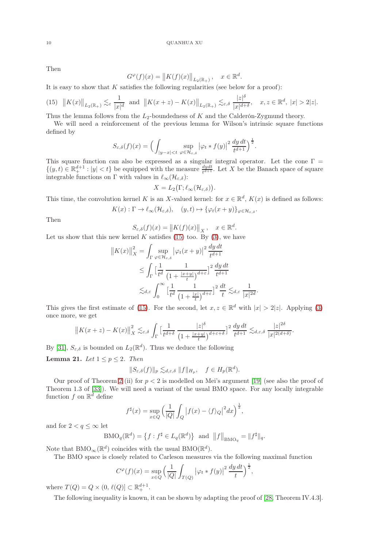Then

$$
G^{\varphi}(f)(x) = \|K(f)(x)\|_{L_2(\mathbb{R}_+)}, \quad x \in \mathbb{R}^d.
$$

It is easy to show that  $K$  satisfies the following regularities (see below for a proof):

<span id="page-9-0"></span>
$$
(15) \quad ||K(x)||_{L_2(\mathbb{R}_+)} \lesssim_{\varepsilon} \frac{1}{|x|^d} \quad \text{and} \quad ||K(x+z) - K(x)||_{L_2(\mathbb{R}_+)} \lesssim_{\varepsilon, \delta} \frac{|z|^\delta}{|x|^{d+\delta}}, \quad x, z \in \mathbb{R}^d, \ |x| > 2|z|.
$$

Thus the lemma follows from the  $L_2$ -boundedness of K and the Calderón-Zygmund theory.

We will need a reinforcement of the previous lemma for Wilson's intrinsic square functions defined by

$$
S_{\varepsilon,\delta}(f)(x) = \Big(\int_{|y-x|
$$

This square function can also be expressed as a singular integral operator. Let the cone  $\Gamma =$  $\{(y,t)\in\mathbb{R}^{d+1}_+: |y| be equipped with the measure  $\frac{dydt}{t^{d+1}}$ . Let X be the Banach space of square$ integrable functions on Γ with values in  $\ell_{\infty}(\mathcal{H}_{\varepsilon,\delta})$ :

$$
X=L_2\big(\Gamma;\ell_\infty(\mathcal{H}_{\varepsilon,\delta})\big).
$$

This time, the convolution kernel K is an X-valued kernel: for  $x \in \mathbb{R}^d$ ,  $K(x)$  is defined as follows:

$$
K(x): \Gamma \to \ell_\infty(\mathcal{H}_{\varepsilon,\delta}), \quad (y,t) \mapsto \{\varphi_t(x+y)\}_{\varphi \in \mathcal{H}_{\varepsilon,\delta}}.
$$

Then

$$
S_{\varepsilon,\delta}(f)(x) = \|K(f)(x)\|_X, \quad x \in \mathbb{R}^d.
$$

Let us show that this new kernel K satisfies [\(15\)](#page-9-0) too. By  $(3)$ , we have

$$
||K(x)||_{X}^{2} = \int_{\Gamma} \sup_{\varphi \in \mathcal{H}_{\varepsilon,\delta}} |\varphi_{t}(x+y)|^{2} \frac{dy dt}{t^{d+1}}
$$
  
\n
$$
\leq \int_{\Gamma} \left[ \frac{1}{t^{d}} \frac{1}{\left(1 + \frac{|x+y|}{t}\right)^{d+\varepsilon}} \right]^{2} \frac{dy dt}{t^{d+1}}
$$
  
\n
$$
\lesssim_{d,\varepsilon} \int_{0}^{\infty} \left[ \frac{1}{t^{d}} \frac{1}{\left(1 + \frac{|x|}{t}\right)^{d+\varepsilon}} \right]^{2} \frac{dt}{t} \lesssim_{d,\varepsilon} \frac{1}{|x|^{2d}}.
$$

This gives the first estimate of [\(15\)](#page-9-0). For the second, let  $x, z \in \mathbb{R}^d$  with  $|x| > 2|z|$ . Applying [\(3\)](#page-1-3) once more, we get

$$
\left\|K(x+z)-K(x)\right\|_X^2\lesssim_{\varepsilon,\delta} \int_{\Gamma}\big[\frac{1}{t^{d+\delta}}\,\frac{|z|^\delta}{\left(1+\frac{|x+y|}{t}\right)^{d+\varepsilon+\delta}}\big]^2\,\frac{dy\,dt}{t^{d+1}}\lesssim_{d,\varepsilon,\delta} \frac{|z|^{2\delta}}{|x|^{2(d+\delta)}}.
$$

By [\[31\]](#page-22-4),  $S_{\varepsilon,\delta}$  is bounded on  $L_2(\mathbb{R}^d)$ . Thus we deduce the following

<span id="page-9-1"></span>Lemma 21. Let  $1 \leq p \leq 2$ . Then

$$
||S_{\varepsilon,\delta}(f)||_p \lesssim_{d,\varepsilon,\delta} ||f||_{H_p}, \quad f \in H_p(\mathbb{R}^d).
$$

Our proof of Theorem [2](#page-1-1) (ii) for  $p < 2$  is modelled on Mei's argument [\[19\]](#page-21-16) (see also the proof of Theorem 1.3 of [\[33\]](#page-22-5)). We will need a variant of the usual BMO space. For any locally integrable function  $f$  on  $\mathbb{R}^d$  define

$$
f^{\sharp}(x) = \sup_{x \in Q} \left( \frac{1}{|Q|} \int_{Q} |f(x) - \langle f \rangle_{Q}|^{2} dx \right)^{\frac{1}{2}},
$$

and for  $2 < q \leq \infty$  let

$$
\mathrm{BMO}_{q}(\mathbb{R}^d) = \left\{ f : f^{\sharp} \in L_q(\mathbb{R}^d) \right\} \text{ and } ||f||_{\mathrm{BMO}_q} = ||f^{\sharp}||_q.
$$

Note that  $\text{BMO}_{\infty}(\mathbb{R}^d)$  coincides with the usual  $\text{BMO}(\mathbb{R}^d)$ .

The BMO space is closely related to Carleson measures via the following maximal function

$$
C^{\varphi}(f)(x) = \sup_{x \in Q} \left( \frac{1}{|Q|} \int_{T(Q)} |\varphi_t * f(y)|^2 \, \frac{dy \, dt}{t} \right)^{\frac{1}{2}},
$$

where  $T(Q) = Q \times (0, \ell(Q)) \subset \mathbb{R}^{d+1}_+$ .

The following inequality is known, it can be shown by adapting the proof of [\[28,](#page-21-17) Theorem IV.4.3].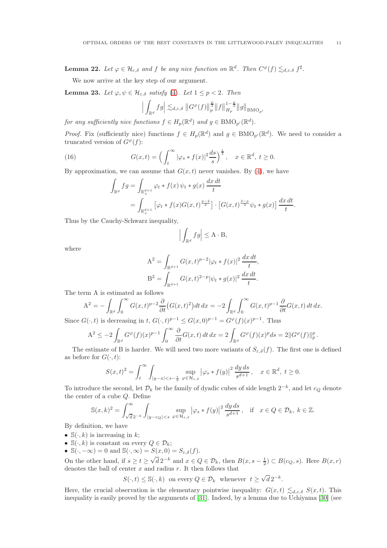<span id="page-10-1"></span>**Lemma 22.** Let  $\varphi \in \mathcal{H}_{\varepsilon,\delta}$  and f be any nice function on  $\mathbb{R}^d$ . Then  $C^{\varphi}(f) \lesssim_{d,\varepsilon,\delta} f^{\sharp}$ .

We now arrive at the key step of our argument.

<span id="page-10-2"></span>**Lemma 23.** Let  $\varphi, \psi \in \mathcal{H}_{\varepsilon,\delta}$  satisfy [\(4\)](#page-1-4). Let  $1 \leq p < 2$ . Then

$$
\Big| \int_{\mathbb{R}^d} fg \Big| \lesssim_{d,\varepsilon,\delta} \|G^\varphi(f)\|_p^{\frac{p}{2}} \|f\|_{H_p}^{1-\frac{p}{2}} \|g\|_{\textnormal{BMO}_{p'}}
$$

for any sufficiently nice functions  $f \in H_p(\mathbb{R}^d)$  and  $g \in \text{BMO}_{p'}(\mathbb{R}^d)$ .

*Proof.* Fix (sufficiently nice) functions  $f \in H_p(\mathbb{R}^d)$  and  $g \in BMO_{p'}(\mathbb{R}^d)$ . We need to consider a truncated version of  $G^{\varphi}(f)$ :

(16) 
$$
G(x,t) = \left(\int_t^{\infty} |\varphi_s * f(x)|^2 \frac{ds}{s}\right)^{\frac{1}{2}}, \quad x \in \mathbb{R}^d, t \ge 0.
$$

By approximation, we can assume that  $G(x, t)$  never vanishes. By [\(4\)](#page-1-4), we have

<span id="page-10-0"></span>
$$
\int_{\mathbb{R}^d} fg = \int_{\mathbb{R}^{d+1}_+} \varphi_t * f(x) \psi_t * g(x) \frac{dx dt}{t}
$$
  
= 
$$
\int_{\mathbb{R}^{d+1}_+} \left[ \varphi_t * f(x) G(x, t)^{\frac{p-2}{2}} \right] \cdot \left[ G(x, t)^{\frac{2-p}{2}} \psi_t * g(x) \right] \frac{dx dt}{t}.
$$

Thus by the Cauchy-Schwarz inequality,

$$
\left| \int_{\mathbb{R}^d} fg \right| \leq \mathbf{A} \cdot \mathbf{B},
$$

where

$$
A^{2} = \int_{\mathbb{R}^{d+1}} G(x,t)^{p-2} |\varphi_{t} * f(x)|^{2} \frac{dx dt}{t},
$$
  

$$
B^{2} = \int_{\mathbb{R}^{d+1}} G(x,t)^{2-p} |\psi_{t} * g(x)|^{2} \frac{dx dt}{t}.
$$

The term A is estimated as follows

$$
A^{2} = -\int_{\mathbb{R}^{d}} \int_{0}^{\infty} G(x,t)^{p-2} \frac{\partial}{\partial t} \left( G(x,t)^{2} \right) dt \, dx = -2 \int_{\mathbb{R}^{d}} \int_{0}^{\infty} G(x,t)^{p-1} \frac{\partial}{\partial t} G(x,t) \, dt \, dx.
$$
  

$$
C(-t) \text{ is decreasing in } t, C(-t)^{p-1} \le C(x,0)^{p-1} = C^{\varphi}(t)(x)^{p-1}.
$$

Since  $G(\cdot, t)$  is decreasing in t,  $G(\cdot, t)^{p-1} \le G(x, 0)^{p-1} = G^{\varphi}(f)(x)^{p-1}$ . Thus

$$
A^2 \le -2 \int_{\mathbb{R}^d} G^{\varphi}(f)(x)^{p-1} \int_0^{\infty} \frac{\partial}{\partial t} G(x, t) dt dx = 2 \int_{\mathbb{R}^d} G^{\varphi}(f)(x)^p ds = 2||G^{\varphi}(f)||_p^p.
$$

The estimate of B is harder. We will need two more variants of  $S_{\varepsilon,\delta}(f)$ . The first one is defined as before for  $G(\cdot, t)$ :

$$
S(x,t)^2 = \int_t^{\infty} \int_{|y-x| < s-\frac{t}{2}} \sup_{\varphi \in \mathcal{H}_{\varepsilon,\delta}} |\varphi_s * f(y)|^2 \frac{dy\,ds}{s^{d+1}}, \quad x \in \mathbb{R}^d, \ t \ge 0.
$$

To introduce the second, let  $\mathcal{D}_k$  be the family of dyadic cubes of side length  $2^{-k}$ , and let  $c_Q$  denote the center of a cube Q. Define

$$
\mathbb{S}(x,k)^2 = \int_{\sqrt{d} \, 2^{-k}}^{\infty} \int_{|y-c_Q| < s} \sup_{\varphi \in \mathcal{H}_{\varepsilon,\delta}} |\varphi_s * f(y)|^2 \, \frac{dy \, ds}{s^{d+1}}, \quad \text{if} \quad x \in Q \in \mathcal{D}_k, \ k \in \mathbb{Z}.
$$

By definition, we have

- $\mathbb{S}(\cdot, k)$  is increasing in k;
- $\mathbb{S}(\cdot, k)$  is constant on every  $Q \in \mathcal{D}_k$ ;
- $\mathbb{S}(\cdot, -\infty) = 0$  and  $\mathbb{S}(\cdot, \infty) = S(x, 0) = S_{\varepsilon, \delta}(f)$ .

On the other hand, if  $s \ge t \ge \sqrt{d} 2^{-k}$  and  $x \in Q \in \mathcal{D}_k$ , then  $B(x, s - \frac{t}{2}) \subset B(c_Q, s)$ . Here  $B(x, r)$ denotes the ball of center  $x$  and radius  $r$ . It then follows that

 $S(\cdot, t) \leq \mathbb{S}(\cdot, k)$  on every  $Q \in \mathcal{D}_k$  whenever  $t \geq \sqrt{d} 2^{-k}$ .

Here, the crucial observation is the elementary pointwise inequality:  $G(x,t) \leq d,\varepsilon,\delta S(x,t)$ . This inequality is easily proved by the arguments of [\[31\]](#page-22-4). Indeed, by a lemma due to Uchiyama [\[30\]](#page-22-6) (see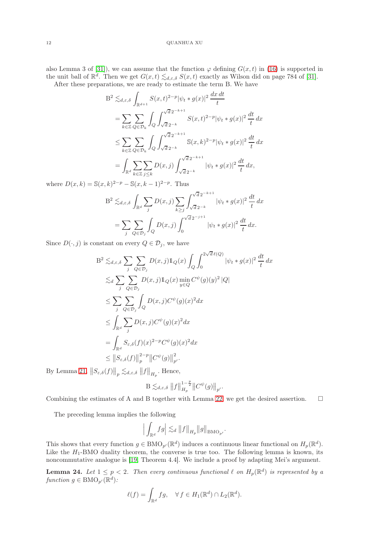also Lemma 3 of [\[31\]](#page-22-4)), we can assume that the function  $\varphi$  defining  $G(x, t)$  in [\(16\)](#page-10-0) is supported in the unit ball of  $\mathbb{R}^d$ . Then we get  $G(x,t) \lesssim_{d,\varepsilon,\delta} S(x,t)$  exactly as Wilson did on page 784 of [\[31\]](#page-22-4).

After these preparations, we are ready to estimate the term B. We have

$$
B^{2} \lesssim_{d,\varepsilon,\delta} \int_{\mathbb{R}^{d+1}} S(x,t)^{2-p} |\psi_{t} * g(x)|^{2} \frac{dx dt}{t}
$$
  
\n
$$
= \sum_{k \in \mathbb{Z}} \sum_{Q \in \mathcal{D}_{k}} \int_{Q} \int_{\sqrt{d} 2^{-k}}^{\sqrt{d} 2^{-k+1}} S(x,t)^{2-p} |\psi_{t} * g(x)|^{2} \frac{dt}{t} dx
$$
  
\n
$$
\leq \sum_{k \in \mathbb{Z}} \sum_{Q \in \mathcal{D}_{k}} \int_{Q} \int_{\sqrt{d} 2^{-k}}^{\sqrt{d} 2^{-k+1}} S(x,k)^{2-p} |\psi_{t} * g(x)|^{2} \frac{dt}{t} dx
$$
  
\n
$$
= \int_{\mathbb{R}^{d}} \sum_{k \in \mathbb{Z}} \sum_{j \leq k} D(x,j) \int_{\sqrt{d} 2^{-k}}^{\sqrt{d} 2^{-k+1}} |\psi_{t} * g(x)|^{2} \frac{dt}{t} dx,
$$

where  $D(x, k) = \mathbb{S}(x, k)^{2-p} - \mathbb{S}(x, k-1)^{2-p}$ . Thus

$$
B^2 \lesssim_{d,\varepsilon,\delta} \int_{\mathbb{R}^d} \sum_j D(x,j) \sum_{k\geq j} \int_{\sqrt{d}2^{-k+1}}^{\sqrt{d}2^{-k+1}} |\psi_t * g(x)|^2 \frac{dt}{t} dx
$$
  
= 
$$
\sum_j \sum_{Q \in \mathcal{D}_j} \int_Q D(x,j) \int_0^{\sqrt{d}2^{-j+1}} |\psi_t * g(x)|^2 \frac{dt}{t} dx.
$$

Since  $D(\cdot, j)$  is constant on every  $Q \in \mathcal{D}_j$ , we have

$$
B^{2} \lesssim_{d,\varepsilon,\delta} \sum_{j} \sum_{Q \in \mathcal{D}_{j}} D(x,j) 1_{Q}(x) \int_{Q} \int_{0}^{2\sqrt{d}\,\ell(Q)} |\psi_{t} * g(x)|^{2} \frac{dt}{t} dx
$$
  
\n
$$
\lesssim_{d} \sum_{j} \sum_{Q \in \mathcal{D}_{j}} D(x,j) 1_{Q}(x) \min_{y \in Q} C^{\psi}(g)(y)^{2} |Q|
$$
  
\n
$$
\leq \sum_{j} \sum_{Q \in \mathcal{D}_{j}} \int_{Q} D(x,j) C^{\psi}(g)(x)^{2} dx
$$
  
\n
$$
\leq \int_{\mathbb{R}^{d}} \sum_{j} D(x,j) C^{\psi}(g)(x)^{2} dx
$$
  
\n
$$
= \int_{\mathbb{R}^{d}} S_{\varepsilon,\delta}(f)(x)^{2-p} C^{\psi}(g)(x)^{2} dx
$$
  
\n
$$
\leq ||S_{\varepsilon,\delta}(f)||_{p}^{2-p} ||C^{\psi}(g)||_{p'}^{2}.
$$

By Lemma [21,](#page-9-1)  $||S_{\varepsilon,\delta}(f)||_p \lesssim_{d,\varepsilon,\delta} ||f||_{H_p}$ . Hence,

$$
\mathbf{B} \lesssim_{d,\varepsilon,\delta} ||f||_{H_p}^{1-\frac{p}{2}} ||C^{\psi}(g)||_{p'}.
$$

Combining the estimates of A and B together with Lemma [22,](#page-10-1) we get the desired assertion.  $\square$ 

The preceding lemma implies the following

$$
\Big|\int_{\mathbb{R}^d} fg\Big|\lesssim_d \big\|f\big\|_{H_p}\big\|g\big\|_{{\rm BMO}_{p'}}.
$$

This shows that every function  $g \in BMO_{p'}(\mathbb{R}^d)$  induces a continuous linear functional on  $H_p(\mathbb{R}^d)$ . Like the  $H_1$ -BMO duality theorem, the converse is true too. The following lemma is known, its noncommutative analogue is [\[19,](#page-21-16) Theorem 4.4]. We include a proof by adapting Mei's argument.

<span id="page-11-0"></span>**Lemma 24.** Let  $1 \leq p \leq 2$ . Then every continuous functional  $\ell$  on  $H_p(\mathbb{R}^d)$  is represented by a function  $g \in \text{BMO}_{p'}(\mathbb{R}^d)$ :

$$
\ell(f) = \int_{\mathbb{R}^d} fg, \quad \forall f \in H_1(\mathbb{R}^d) \cap L_2(\mathbb{R}^d).
$$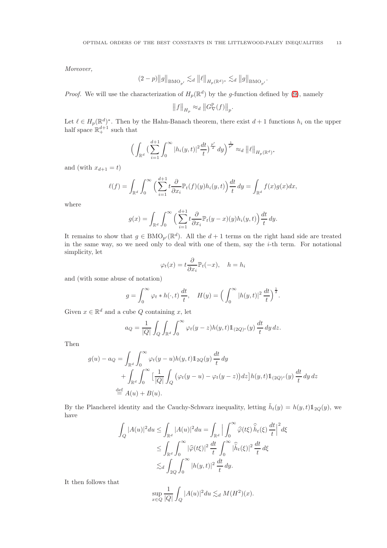Moreover,

$$
(2-p)\big\|g\big\|_{{\rm BMO}_{p'}}\lesssim_d \big\|\ell\big\|_{H_p({\mathbb R}^d)^*}\lesssim_d \big\|g\big\|_{{\rm BMO}_{p'}}.
$$

*Proof.* We will use the characterization of  $H_p(\mathbb{R}^d)$  by the g-function defined by [\(9\)](#page-3-1), namely

$$
||f||_{H_p} \approx_d ||G^{\mathbb{P}}_{\nabla}(f)||_p.
$$

Let  $\ell \in H_p(\mathbb{R}^d)^*$ . Then by the Hahn-Banach theorem, there exist  $d+1$  functions  $h_i$  on the upper half space  $\mathbb{R}^{d+1}_+$  such that

$$
\Big(\int_{\mathbb{R}^d} \big(\sum_{i=1}^{d+1} \int_0^\infty |h_i(y,t)|^2 \frac{dt}{t}\big)^{\frac{p'}{2}} dy\Big)^{\frac{1}{p'}} \approx_d \big\|\ell\big\|_{H_p(\mathbb{R}^d)^*}
$$

and (with  $x_{d+1} = t$ )

$$
\ell(f) = \int_{\mathbb{R}^d} \int_0^\infty \Big( \sum_{i=1}^{d+1} t \frac{\partial}{\partial x_i} \mathbb{P}_t(f)(y) h_i(y, t) \Big) \frac{dt}{t} dy = \int_{\mathbb{R}^d} f(x) g(x) dx,
$$

where

$$
g(x) = \int_{\mathbb{R}^d} \int_0^\infty \Big( \sum_{i=1}^{d+1} t \frac{\partial}{\partial x_i} \mathbb{P}_t(y-x)(y) h_i(y,t) \Big) \frac{dt}{t} dy.
$$

It remains to show that  $g \in BMO_{p'}(\mathbb{R}^d)$ . All the  $d+1$  terms on the right hand side are treated in the same way, so we need only to deal with one of them, say the  $i$ -th term. For notational simplicity, let

$$
\varphi_t(x) = t \frac{\partial}{\partial x_i} \mathbb{P}_t(-x), \quad h = h_i
$$

and (with some abuse of notation)

$$
g = \int_0^\infty \varphi_t * h(\cdot, t) \frac{dt}{t}, \quad H(y) = \left( \int_0^\infty |h(y, t)|^2 \frac{dt}{t} \right)^{\frac{1}{2}}.
$$

Given  $x \in \mathbb{R}^d$  and a cube Q containing x, let

$$
a_Q = \frac{1}{|Q|} \int_Q \int_{\mathbb{R}^d} \int_0^\infty \varphi_t(y-z) h(y,t) \mathbb{1}_{(2Q)^c}(y) \frac{dt}{t} dy dz.
$$

Then

$$
g(u) - a_Q = \int_{\mathbb{R}^d} \int_0^\infty \varphi_t(y - u) h(y, t) \mathbb{1}_{2Q}(y) \frac{dt}{t} dy
$$
  
+ 
$$
\int_{\mathbb{R}^d} \int_0^\infty \left[ \frac{1}{|Q|} \int_Q (\varphi_t(y - u) - \varphi_t(y - z)) dz \right] h(y, t) \mathbb{1}_{(2Q)^c}(y) \frac{dt}{t} dy dz
$$
  

$$
\stackrel{\text{def}}{=} A(u) + B(u).
$$

By the Plancherel identity and the Cauchy-Schwarz inequality, letting  $\tilde{h}_t(y) = h(y, t) \mathbb{1}_{2Q}(y)$ , we have

$$
\int_{Q} |A(u)|^2 du \leq \int_{\mathbb{R}^d} |A(u)|^2 du = \int_{\mathbb{R}^d} \left| \int_0^\infty \widehat{\varphi}(t\xi) \widehat{h}_t(\xi) \frac{dt}{t} \right|^2 d\xi
$$
  
\n
$$
\leq \int_{\mathbb{R}^d} \int_0^\infty |\widehat{\varphi}(t\xi)|^2 \frac{dt}{t} \int_0^\infty |\widehat{h}_t(\xi)|^2 \frac{dt}{t} d\xi
$$
  
\n
$$
\lesssim_d \int_{2Q} \int_0^\infty |h(y,t)|^2 \frac{dt}{t} dy.
$$

It then follows that

$$
\sup_{x \in Q} \frac{1}{|Q|} \int_Q |A(u)|^2 du \lesssim_d M(H^2)(x).
$$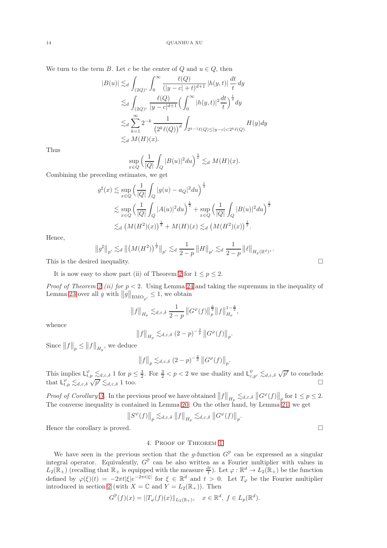We turn to the term B. Let c be the center of Q and  $u \in Q$ , then

$$
|B(u)| \lesssim_d \int_{(2Q)^c} \int_0^\infty \frac{\ell(Q)}{(|y-c|+t)^{d+1}} |h(y,t)| \frac{dt}{t} dy
$$
  

$$
\lesssim_d \int_{(2Q)^c} \frac{\ell(Q)}{|y-c|^{d+1}} \Big(\int_0^\infty |h(y,t)|^2 \frac{dt}{t}\Big)^{\frac{1}{2}} dy
$$
  

$$
\lesssim_d \sum_{k=1}^\infty 2^{-k} \frac{1}{(2^k \ell(Q))^d} \int_{2^{k-1} \ell(Q) \le |y-c| < 2^k \ell(Q)} H(y) dy
$$
  

$$
\lesssim_d M(H)(x).
$$

Thus

$$
\sup_{x \in Q} \left( \frac{1}{|Q|} \int_Q |B(u)|^2 du \right)^{\frac{1}{2}} \lesssim_d M(H)(x).
$$

Combining the preceding estimates, we get

$$
g^{\sharp}(x) \lesssim \sup_{x \in Q} \left(\frac{1}{|Q|} \int_{Q} |g(u) - a_{Q}|^{2} du\right)^{\frac{1}{2}}
$$
  
 
$$
\lesssim \sup_{x \in Q} \left(\frac{1}{|Q|} \int_{Q} |A(u)|^{2} du\right)^{\frac{1}{2}} + \sup_{x \in Q} \left(\frac{1}{|Q|} \int_{Q} |B(u)|^{2} du\right)^{\frac{1}{2}}
$$
  
 
$$
\lesssim_{d} \left(M(H^{2})(x)\right)^{\frac{1}{2}} + M(H)(x) \lesssim_{d} \left(M(H^{2})(x)\right)^{\frac{1}{2}}.
$$

Hence,

$$
||g^{\sharp}||_{p'} \lesssim_d ||(M(H^2))^{\frac{1}{2}}||_{p'} \lesssim_d \frac{1}{2-p} ||H||_{p'} \lesssim_d \frac{1}{2-p} ||\ell||_{H_p(\mathbb{R}^d)^*}
$$

This is the desired inequality.  $\Box$ 

It is now easy to show part (ii) of Theorem [2](#page-1-1) for  $1 \le p \le 2$ .

*Proof of Theorem [2](#page-1-1) (ii) for*  $p < 2$ *.* Using Lemma [24](#page-11-0) and taking the supremum in the inequality of Lemma [23](#page-10-2) over all g with  $\|\hat{g}\|_{\text{BMO}_{p'}} \leq 1$ , we obtain

$$
||f||_{H_p} \lesssim_{d,\varepsilon,\delta} \frac{1}{2-p} ||G^{\varphi}(f)||_{p}^{\frac{p}{2}} ||f||_{H_p}^{1-\frac{p}{2}},
$$

whence

$$
||f||_{H_p} \lesssim_{d,\varepsilon,\delta} (2-p)^{-\frac{2}{p}} ||G^{\varphi}(f)||_p.
$$

Since  $||f||_p \leq ||f||_{H_p}$ , we deduce

$$
||f||_p \lesssim_{d,\varepsilon,\delta} (2-p)^{-\frac{2}{p}} ||G^{\varphi}(f)||_p.
$$

This implies  $\mathsf{L}_{t,p}^{\varphi} \lesssim_{d,\varepsilon,\delta} 1$  for  $p \leq \frac{3}{2}$ . For  $\frac{3}{2} < p < 2$  we use duality and  $\mathsf{L}_{c,p'}^{\psi} \lesssim_{d,\varepsilon,\delta} \sqrt{p'}$  to conclude that  $L_{t,p}^{\varphi} \lesssim_{d,\varepsilon,\delta} \sqrt{p'} \lesssim_{d,\varepsilon,\delta} 1$  too.

Proof of Corollary [3.](#page-2-2) In the previous proof we have obtained  $||f||_{H_p} \lesssim_{d,\varepsilon,\delta} ||G^{\varphi}(f)||_p$  for  $1 \leq p \leq 2$ . The converse inequality is contained in Lemma [20.](#page-8-0) On the other hand, by Lemma [21,](#page-9-1) we get

$$
\left\|S^{\psi}(f)\right\|_p\lesssim_{d,\varepsilon,\delta} \left\|f\right\|_{H_p}\lesssim_{d,\varepsilon,\delta} \left\|G^{\varphi}(f)\right\|_p.
$$

<span id="page-13-0"></span>Hence the corollary is proved.

### 4. Proof of Theorem [1](#page-1-2)

We have seen in the previous section that the g-function  $G^{\mathbb{P}}$  can be expressed as a singular integral operator. Equivalently,  $G^{\mathbb{P}}$  can be also written as a Fourier multiplier with values in  $L_2(\mathbb{R}_+)$  (recalling that  $\mathbb{R}_+$  is equipped with the measure  $\frac{dt}{t}$ ). Let  $\varphi : \mathbb{R}^d \to L_2(\mathbb{R}_+)$  be the function defined by  $\varphi(\xi)(t) = -2\pi t |\xi| e^{-2\pi t |\xi|}$  for  $\xi \in \mathbb{R}^d$  and  $t > 0$ . Let  $T_{\varphi}$  be the Fourier multiplier introduced in section [2](#page-5-0) (with  $X = \mathbb{C}$  and  $Y = L_2(\mathbb{R}_+)$ ). Then

$$
G^{\mathbb{P}}(f)(x) = ||T_{\varphi}(f)(x)||_{L_2(\mathbb{R}_+)}, \quad x \in \mathbb{R}^d, \ f \in L_p(\mathbb{R}^d).
$$

.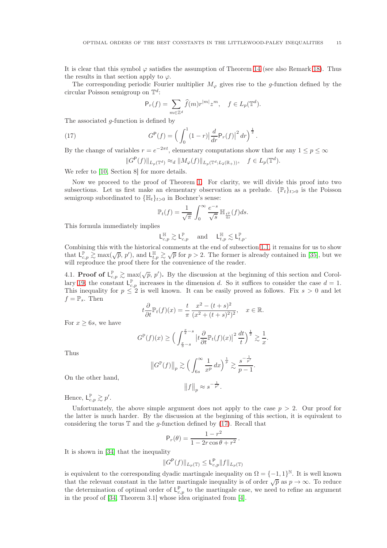It is clear that this symbol  $\varphi$  satisfies the assumption of Theorem [14](#page-5-3) (see also Remark [18\)](#page-8-1). Thus the results in that section apply to  $\varphi$ .

The corresponding periodic Fourier multiplier  $M_{\varphi}$  gives rise to the g-function defined by the circular Poisson semigroup on  $\mathbb{T}^d$ :

<span id="page-14-0"></span>
$$
\mathsf{P}_r(f) = \sum_{m \in \mathbb{Z}^d} \widehat{f}(m) r^{|m|} z^m, \quad f \in L_p(\mathbb{T}^d).
$$

The associated *q*-function is defined by

(17) 
$$
G^{P}(f) = \left(\int_{0}^{1} (1-r) \left|\frac{d}{dr} P_{r}(f)\right|^{2} dr\right)^{\frac{1}{2}}.
$$

By the change of variables  $r = e^{-2\pi t}$ , elementary computations show that for any  $1 \le p \le \infty$ 

$$
||G^{\mathsf{P}}(f)||_{L_p(\mathbb{T}^d)} \approx_d ||M_{\varphi}(f)||_{L_p(\mathbb{T}^d; L_2(\mathbb{R}_+))}, \quad f \in L_p(\mathbb{T}^d).
$$

We refer to [\[10,](#page-21-18) Section 8] for more details.

Now we proceed to the proof of Theorem [1.](#page-1-2) For clarity, we will divide this proof into two subsections. Let us first make an elementary observation as a prelude.  $\{\mathbb{P}_t\}_{t>0}$  is the Poisson semigroup subordinated to  $\{\mathbb{H}_t\}_{t>0}$  in Bochner's sense:

$$
\mathbb{P}_t(f) = \frac{1}{\sqrt{\pi}} \int_0^\infty \frac{e^{-s}}{\sqrt{s}} \mathbb{H}_{\frac{t^2}{4s}}(f) ds.
$$

This formula immediately implies

$$
\mathsf{L}^{\mathbb{H}}_{c,p}\gtrsim \mathsf{L}^{\mathbb{P}}_{c,p}\quad \text{ and }\quad \mathsf{L}^{\mathbb{H}}_{t,p}\lesssim \mathsf{L}^{\mathbb{P}}_{t,p}.
$$

Combining this with the historical comments at the end of subsection [1.1,](#page-0-2) it remains for us to show that  $\mathsf{L}_{c,p}^{\mathbb{P}} \gtrsim \max(\sqrt{p}, p')$ , and  $\mathsf{L}_{t,p}^{\mathbb{H}} \gtrsim \sqrt{p}$  for  $p > 2$ . The former is already contained in [\[35\]](#page-22-0), but we will reproduce the proof there for the convenience of the reader.

4.1. **Proof of**  $L_{c,p}^{\mathbb{P}} \gtrsim \max(\sqrt{p}, p')$ . By the discussion at the beginning of this section and Corol-lary [19,](#page-8-2) the constant  $L_{c,p}^{\mathbb{P}}$  increases in the dimension d. So it suffices to consider the case  $d=1$ . This inequality for  $p \leq 2$  is well known. It can be easily proved as follows. Fix  $s > 0$  and let  $f = \mathbb{P}_s$ . Then

$$
t\frac{\partial}{\partial t}\mathbb{P}_t(f)(x) = \frac{t}{\pi} \frac{x^2 - (t+s)^2}{(x^2 + (t+s)^2)^2}, \quad x \in \mathbb{R}.
$$

For  $x \geq 6s$ , we have

$$
G^{\mathbb{P}}(f)(x) \ge \Big(\int_{\frac{x}{3}-s}^{\frac{x}{2}-s}\big|t\frac{\partial}{\partial t}\mathbb{P}_t(f)(x)\big|^2\,\frac{dt}{t}\Big)^{\frac{1}{2}}\gtrsim \frac{1}{x}.
$$

Thus

$$
||G^{\mathbb{P}}(f)||_p \gtrsim \left(\int_{6s}^{\infty} \frac{1}{x^p} dx\right)^{\frac{1}{p}} \gtrsim \frac{s^{-\frac{1}{p'}}}{p-1}.
$$

$$
||f||_p \approx s^{-\frac{1}{p'}}.
$$

On the other hand,

Hence,  $L_{c,p}^{\mathbb{P}} \gtrsim p'.$ 

Unfortunately, the above simple argument does not apply to the case  $p > 2$ . Our proof for the latter is much harder. By the discussion at the beginning of this section, it is equivalent to considering the torus  $\mathbb T$  and the *q*-function defined by [\(17\)](#page-14-0). Recall that

$$
\mathsf{P}_r(\theta) = \frac{1 - r^2}{1 - 2r\cos\theta + r^2}.
$$

It is shown in [\[34\]](#page-22-7) that the inequality

$$
||G^{\mathsf{P}}(f)||_{L_p(\mathbb{T})} \leq \mathsf{L}_{c,p}^{\mathsf{P}} ||f||_{L_p(\mathbb{T})}
$$

is equivalent to the corresponding dyadic martingale inequality on  $\Omega = \{-1, 1\}^{\mathbb{N}}$ . It is well known that the relevant constant in the latter martingale inequality is of order  $\sqrt{p}$  as  $p \to \infty$ . To reduce the determination of optimal order of  $L_{c,p}^{\mathsf{P}}$  to the martingale case, we need to refine an argument in the proof of [\[34,](#page-22-7) Theorem 3.1] whose idea originated from [\[4\]](#page-21-19).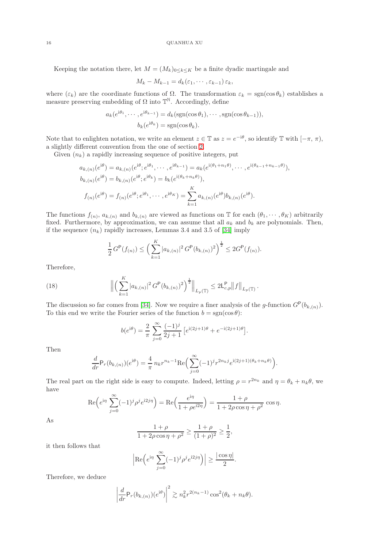Keeping the notation there, let  $M = (M_k)_{0 \leq k \leq K}$  be a finite dyadic martingale and

$$
M_k - M_{k-1} = d_k(\varepsilon_1, \cdots, \varepsilon_{k-1}) \varepsilon_k,
$$

where  $(\varepsilon_k)$  are the coordinate functions of  $\Omega$ . The transformation  $\varepsilon_k = \text{sgn}(\cos \theta_k)$  establishes a measure preserving embedding of  $\Omega$  into  $\mathbb{T}^{\mathbb{N}}$ . Accordingly, define

$$
a_k(e^{i\theta_1}, \cdots, e^{i\theta_{k-1}}) = d_k(\text{sgn}(\cos \theta_1), \cdots, \text{sgn}(\cos \theta_{k-1})),
$$
  

$$
b_k(e^{i\theta_k}) = \text{sgn}(\cos \theta_k).
$$

Note that to enlighten notation, we write an element  $z \in \mathbb{T}$  as  $z = e^{-i\theta}$ , so identify  $\mathbb{T}$  with  $[-\pi, \pi)$ , a slightly different convention from the one of section [2.](#page-5-0)

Given  $(n_k)$  a rapidly increasing sequence of positive integers, put

$$
a_{k,(n)}(e^{i\theta}) = a_{k,(n)}(e^{i\theta}; e^{i\theta_1}, \cdots, e^{i\theta_{k-1}}) = a_k(e^{i(\theta_1 + n_1\theta)}, \cdots, e^{i(\theta_{k-1} + n_{k-1}\theta)}),
$$
  
\n
$$
b_{k,(n)}(e^{i\theta}) = b_{k,(n)}(e^{i\theta}; e^{i\theta_k}) = b_k(e^{i(\theta_k + n_k\theta)}),
$$
  
\n
$$
f_{(n)}(e^{i\theta}) = f_{(n)}(e^{i\theta}; e^{i\theta_1}, \cdots, e^{i\theta_K}) = \sum_{k=1}^K a_{k,(n)}(e^{i\theta})b_{k,(n)}(e^{i\theta}).
$$

The functions  $f_{(n)}$ ,  $a_{k,(n)}$  and  $b_{k,(n)}$  are viewed as functions on T for each  $(\theta_1, \dots, \theta_K)$  arbitrarily fixed. Furthermore, by approximation, we can assume that all  $a_k$  and  $b_k$  are polynomials. Then, if the sequence  $(n_k)$  rapidly increases, Lemmas 3.4 and 3.5 of [\[34\]](#page-22-7) imply

$$
\frac{1}{2}G^{\mathsf{P}}(f_{(n)}) \le \left(\sum_{k=1}^{K} |a_{k,(n)}|^2 G^{\mathsf{P}}(b_{k,(n)})^2\right)^{\frac{1}{2}} \le 2G^{\mathsf{P}}(f_{(n)}).
$$

Therefore,

(18) 
$$
\left\| \left( \sum_{k=1}^K |a_{k,(n)}|^2 G^{\mathsf{P}}(b_{k,(n)})^2 \right)^{\frac{1}{2}} \right\|_{L_p(\mathbb{T})} \leq 2 \mathsf{L}_{c,p}^{\mathsf{P}} \left\| f \right\|_{L_p(\mathbb{T})}.
$$

The discussion so far comes from [\[34\]](#page-22-7). Now we require a finer analysis of the g-function  $G^{\mathsf{P}}(b_{k,(n)})$ . To this end we write the Fourier series of the function  $b = sgn(\cos \theta)$ :

<span id="page-15-0"></span>
$$
b(e^{i\theta}) = \frac{2}{\pi} \sum_{j=0}^{\infty} \frac{(-1)^j}{2j+1} \left[ e^{i(2j+1)\theta} + e^{-i(2j+1)\theta} \right].
$$

Then

$$
\frac{d}{dr}\mathsf{P}_r(b_{k,(n)})(e^{\mathbf{i}\theta}) = \frac{4}{\pi}n_k r^{n_k-1} \text{Re}\Big(\sum_{j=0}^{\infty}(-1)^j r^{2n_kj} e^{\mathbf{i}(2j+1)(\theta_k + n_k\theta)}\Big).
$$

The real part on the right side is easy to compute. Indeed, letting  $\rho = r^{2n_k}$  and  $\eta = \theta_k + n_k \theta$ , we have

$$
\operatorname{Re}\left(e^{i\eta} \sum_{j=0}^{\infty} (-1)^j \rho^j e^{i2j\eta}\right) = \operatorname{Re}\left(\frac{e^{i\eta}}{1 + \rho e^{i2\eta}}\right) = \frac{1 + \rho}{1 + 2\rho \cos \eta + \rho^2} \cos \eta.
$$

As

$$
\frac{1+\rho}{1+2\rho\cos\eta+\rho^2} \ge \frac{1+\rho}{(1+\rho)^2} \ge \frac{1}{2},
$$

it then follows that

$$
\left| \operatorname{Re} \left( e^{i\eta} \sum_{j=0}^{\infty} (-1)^j \rho^j e^{i2j\eta} \right) \right| \ge \frac{|\cos \eta|}{2}.
$$

Therefore, we deduce

$$
\left|\frac{d}{dr}\mathsf{P}_r(b_{k,(n)})(e^{\mathsf{i}\theta})\right|^2 \gtrsim n_k^2 r^{2(n_k-1)} \cos^2(\theta_k + n_k\theta).
$$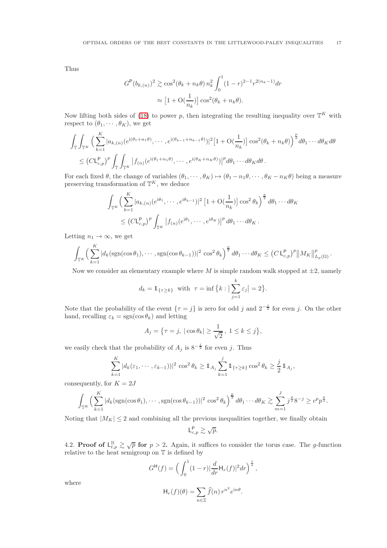Thus

$$
G^{P}(b_{k,(n)})^{2} \gtrsim \cos^{2}(\theta_{k} + n_{k}\theta) n_{k}^{2} \int_{0}^{1} (1-r)^{2-1} r^{2(n_{k}-1)} dr
$$

$$
\approx [1 + \mathcal{O}(\frac{1}{n_{k}})] \cos^{2}(\theta_{k} + n_{k}\theta).
$$

Now lifting both sides of [\(18\)](#page-15-0) to power p, then integrating the resulting inequality over  $\mathbb{T}^K$  with respect to  $(\theta_1, \cdots, \theta_K)$ , we get

$$
\int_{\mathbb{T}} \int_{\mathbb{T}^K} \left( \sum_{k=1}^K |a_{k,(n)}(e^{i(\theta_1 + n_1 \theta)}, \dots, e^{i(\theta_{k-1} + n_{k-1} \theta)})|^2 \left[ 1 + \mathcal{O}(\frac{1}{n_k}) \right] \cos^2(\theta_k + n_k \theta) \right)^{\frac{p}{2}} d\theta_1 \cdots d\theta_K d\theta
$$
  

$$
\leq (C L_{c,p}^p)^p \int_{\mathbb{T}} \int_{\mathbb{T}^K} |f_{(n)}(e^{i(\theta_1 + n_1 \theta)}, \dots, e^{i(\theta_K + n_K \theta)})|^p d\theta_1 \cdots d\theta_K d\theta.
$$

For each fixed  $\theta$ , the change of variables  $(\theta_1, \dots, \theta_K) \mapsto (\theta_1 - n_1 \theta, \dots, \theta_K - n_K \theta)$  being a measure preserving transformation of  $\mathbb{T}^K$ , we deduce

$$
\int_{\mathbb{T}^K} \left( \sum_{k=1}^K |a_{k,(n)}(e^{i\theta_1}, \cdots, e^{i\theta_{k-1}})|^2 \left[ 1 + \mathcal{O}(\frac{1}{n_k}) \right] \cos^2 \theta_k \right)^{\frac{p}{2}} d\theta_1 \cdots d\theta_K
$$
  

$$
\leq \left( C \mathsf{L}_{c,p}^{\mathsf{P}} \right)^p \int_{\mathbb{T}^K} \left| f_{(n)}(e^{i\theta_1}, \cdots, e^{i\theta_K}) \right|^p d\theta_1 \cdots d\theta_K.
$$

Letting  $n_1 \rightarrow \infty$ , we get

$$
\int_{\mathbb{T}^K} \Big( \sum_{k=1}^K |d_k(\text{sgn}(\cos\theta_1),\cdots,\text{sgn}(\cos\theta_{k-1}))|^2 \cos^2\theta_k \Big)^{\frac{p}{2}} d\theta_1 \cdots d\theta_K \leq (C L_{c,p}^p)^p \|M_K\|_{L_p(\Omega)}^p.
$$

Now we consider an elementary example where M is simple random walk stopped at  $\pm 2$ , namely

$$
d_k = \mathbb{1}_{\{\tau \ge k\}} \quad \text{with} \quad \tau = \inf \left\{ k : \left| \sum_{j=1}^k \varepsilon_j \right| = 2 \right\}.
$$

Note that the probability of the event  $\{\tau = j\}$  is zero for odd j and  $2^{-\frac{j}{2}}$  for even j. On the other hand, recalling  $\varepsilon_k = \text{sgn}(\cos \theta_k)$  and letting

$$
A_j = \{ \tau = j, \, |\cos \theta_k| \ge \frac{1}{\sqrt{2}}, \, 1 \le k \le j \},\
$$

we easily check that the probability of  $A_j$  is  $8^{-\frac{j}{2}}$  for even j. Thus

$$
\sum_{k=1}^K |d_k(\varepsilon_1,\cdots,\varepsilon_{k-1}))|^2 \cos^2\theta_k \geq \mathbb{1}_{A_j} \sum_{k=1}^j \mathbb{1}_{\{\tau \geq k\}} \cos^2\theta_k \geq \frac{j}{2} \mathbb{1}_{A_j},
$$

consequently, for  $K = 2J$ 

$$
\int_{\mathbb{T}^K} \Big(\sum_{k=1}^K |d_k(\mathrm{sgn}(\cos\theta_1),\cdots,\mathrm{sgn}(\cos\theta_{k-1}))|^2 \cos^2\theta_k\Big)^{\frac{p}{2}} d\theta_1\cdots d\theta_K \gtrsim \sum_{m=1}^J j^{\frac{p}{2}} 8^{-j} \geq c^p p^{\frac{p}{2}}.
$$

Noting that  $|M_K| \leq 2$  and combining all the previous inequalities together, we finally obtain

$$
\mathsf{L}_{c,p}^{\mathsf{P}} \gtrsim \sqrt{p}.
$$

4.2. Proof of  $L_{t,p}^{\mathbb{H}} \gtrsim \sqrt{p}$  for  $p > 2$ . Again, it suffices to consider the torus case. The g-function relative to the heat semigroup on T is defined by

$$
G^{H}(f) = \left(\int_0^1 (1-r)|\frac{d}{dr}H_r(f)|^2 dr\right)^{\frac{1}{2}},
$$

where

$$
\mathsf{H}_r(f)(\theta) = \sum_{n \in \mathbb{Z}} \widehat{f}(n) r^{n^2} e^{\mathrm{i}n\theta}.
$$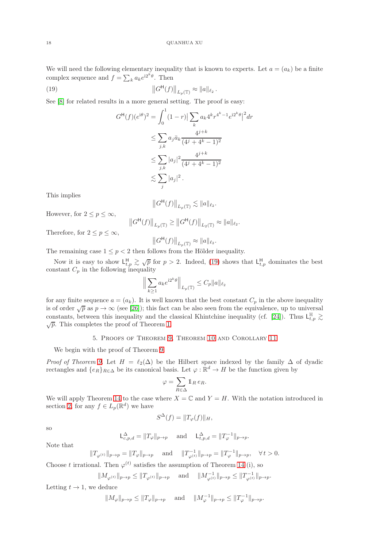We will need the following elementary inequality that is known to experts. Let  $a = (a_k)$  be a finite complex sequence and  $f = \sum_k a_k e^{i2^k \theta}$ . Then

.

(19) 
$$
\|G^{\mathsf{H}}(f)\|_{L_p(\mathbb{T})} \approx \|a\|_{\ell_2}
$$

See [\[8\]](#page-21-20) for related results in a more general setting. The proof is easy:

<span id="page-17-0"></span>
$$
G^{\mathsf{H}}(f)(e^{i\theta})^2 = \int_0^1 (1-r)| \sum_k a_k 4^k r^{4^k - 1} e^{i2^k \theta} |^2 dr
$$
  
\n
$$
\leq \sum_{j,k} a_j \bar{a}_k \frac{4^{j+k}}{(4^j + 4^k - 1)^2}
$$
  
\n
$$
\leq \sum_{j,k} |a_j|^2 \frac{4^{j+k}}{(4^j + 4^k - 1)^2}
$$
  
\n
$$
\lesssim \sum_j |a_j|^2.
$$

This implies

$$
\left\|G^{\mathsf{H}}(f)\right\|_{L_{p}(\mathbb{T})} \lesssim \|a\|_{\ell_{2}}.
$$

However, for  $2 \le p \le \infty$ ,

$$
||G^{\mathsf{H}}(f)||_{L_p(\mathbb{T})} \ge ||G^{\mathsf{H}}(f)||_{L_2(\mathbb{T})} \approx ||a||_{\ell_2}.
$$

Therefore, for  $2 \le p \le \infty$ ,

$$
\left\|G^{\mathsf{H}}(f)\right\|_{L_{p}(\mathbb{T})}\approx\|a\|_{\ell_{2}}.
$$

The remaining case  $1 \leq p < 2$  then follows from the Hölder inequality.

Now it is easy to show  $L_{t,p}^{\mathsf{H}} \gtrsim \sqrt{p}$  for  $p > 2$ . Indeed, [\(19\)](#page-17-0) shows that  $L_{t,p}^{\mathsf{H}}$  dominates the best constant  $C_p$  in the following inequality

$$
\Big\|\sum_{k\geq 1}a_ke^{{\rm i}2^k\theta}\Big\|_{L_p(\mathbb{T})}\leq C_p\|a\|_{\ell_2}
$$

for any finite sequence  $a = (a_k)$ . It is well known that the best constant  $C_p$  in the above inequality is of order  $\sqrt{p}$  as  $p \to \infty$  (see [\[26\]](#page-21-21)); this fact can be also seen from the equivalence, up to universal constants, between this inequality and the classical Khintchine inequality (cf. [\[24\]](#page-21-22)). Thus  $L_{t,p}^{\mathbb{H}} \gtrsim$  $\sqrt{p}$ . This completes the proof of Theorem [1.](#page-1-2)

# 5. Proofs of Theorem [9,](#page-4-0) Theorem [10](#page-4-3) and Corollary [11](#page-4-4)

We begin with the proof of Theorem [9.](#page-4-0)

*Proof of Theorem [9.](#page-4-0)* Let  $H = \ell_2(\Delta)$  be the Hilbert space indexed by the family  $\Delta$  of dyadic rectangles and  $\{e_R\}_{R\in\Delta}$  be its canonical basis. Let  $\varphi : \mathbb{R}^d \to H$  be the function given by

$$
\varphi = \sum_{R \in \Delta} \mathbb{1}_R e_R.
$$

We will apply Theorem [14](#page-5-3) to the case where  $X = \mathbb{C}$  and  $Y = H$ . With the notation introduced in section [2,](#page-5-0) for any  $f \in L_p(\mathbb{R}^d)$  we have

$$
S^{\Delta}(f) = ||T_{\varphi}(f)||_{H},
$$

so

$$
\mathsf{L}^{\Delta}_{c,p,d} = \|T_\varphi\|_{p\to p} \quad \text{ and } \quad \mathsf{L}^{\Delta}_{t,p,d} = \|T^{-1}_\varphi\|_{p\to p}.
$$

Note that

$$
\|T_{\varphi^{(t)}}\|_{p\to p}=\|T_\varphi\|_{p\to p}\quad \text{ and }\quad \|T_{\varphi^{(t)}}^{-1}\|_{p\to p}=\|T_\varphi^{-1}\|_{p\to p},\quad \forall\, t>0.
$$

Choose t irrational. Then  $\varphi^{(t)}$  satisfies the assumption of Theorem [14](#page-5-3) (i), so

$$
\|M_{\varphi^{(t)}}\|_{p\to p}\leq \|T_{\varphi^{(t)}}\|_{p\to p}\quad \text{ and }\quad \|M_{\varphi^{(t)}}^{-1}\|_{p\to p}\leq \|T_{\varphi^{(t)}}^{-1}\|_{p\to p}.
$$

Letting  $t \to 1$ , we deduce

$$
||M_{\varphi}||_{p\to p} \le ||T_{\varphi}||_{p\to p}
$$
 and  $||M_{\varphi}^{-1}||_{p\to p} \le ||T_{\varphi}^{-1}||_{p\to p}$ .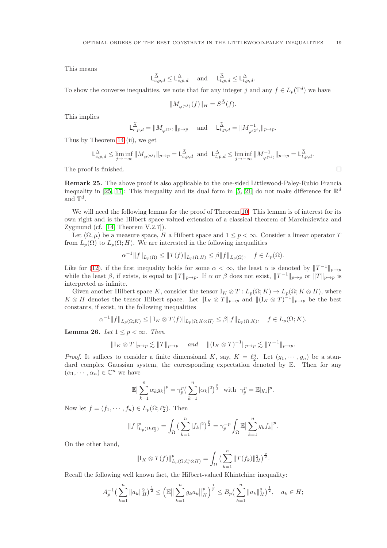This means

$$
\mathsf{L}^{\widetilde{\Delta}}_{c,p,d} \leq \mathsf{L}^{\Delta}_{c,p,d} \quad \text{ and } \quad \mathsf{L}^{\widetilde{\Delta}}_{t,p,d} \leq \mathsf{L}^{\Delta}_{t,p,d}.
$$

To show the converse inequalities, we note that for any integer j and any  $f \in L_p(\mathbb{T}^d)$  we have

$$
\|M_{\varphi^{(2^j)}}(f)\|_H=S^{\widetilde{\Delta}}(f).
$$

This implies

$$
\mathsf{L}^{\widetilde{\Delta}}_{c,p,d}=\|M_{\varphi^{(2^j)}}\|_{p\rightarrow p}\quad \text{ and }\quad \mathsf{L}^{\widetilde{\Delta}}_{t,p,d}=\|M_{\varphi^{(2^j)}}^{-1}\|_{p\rightarrow p}.
$$

Thus by Theorem [14](#page-5-3) (ii), we get

$$
\mathsf{L}^\Delta_{c,p,d}\leq \liminf_{j\to-\infty}\|M_{\varphi^{(2^j)}}\|_{p\to p}=\mathsf{L}^{\widetilde{\Delta}}_{c,p,d}\ \ \text{and}\ \ \mathsf{L}^\Delta_{t,p,d}\leq \liminf_{j\to-\infty}\|M^{-1}_{\varphi^{(2^j)}}\|_{p\to p}=\mathsf{L}^{\widetilde{\Delta}}_{t,p,d}.
$$

The proof is finished.  $\square$ 

Remark 25. The above proof is also applicable to the one-sided Littlewood-Paley-Rubio Francia inequality in [\[25,](#page-21-11) [17\]](#page-21-13): This inequality and its dual form in [\[5,](#page-21-10) [21\]](#page-21-23) do not make difference for  $\mathbb{R}^d$ and  $\mathbb{T}^d$ .

We will need the following lemma for the proof of Theorem [10.](#page-4-3) This lemma is of interest for its own right and is the Hilbert space valued extension of a classical theorem of Marcinkiewicz and Zygmund (cf. [\[14,](#page-21-24) Theorem V.2.7]).

Let  $(\Omega, \mu)$  be a measure space, H a Hilbert space and  $1 \leq p < \infty$ . Consider a linear operator T from  $L_p(\Omega)$  to  $L_p(\Omega; H)$ . We are interested in the following inequalities

$$
\alpha^{-1}||f||_{L_p(\Omega)} \le ||T(f)||_{L_p(\Omega;H)} \le \beta||f||_{L_p(\Omega)}, \quad f \in L_p(\Omega).
$$

Like for [\(12\)](#page-5-1), if the first inequality holds for some  $\alpha < \infty$ , the least  $\alpha$  is denoted by  $||T^{-1}||_{p\to p}$ while the least  $\beta$ , if exists, is equal to  $||T||_{p\to p}$ . If  $\alpha$  or  $\beta$  does not exist,  $||T^{-1}||_{p\to p}$  or  $||T||_{p\to p}$  is interpreted as infinite.

Given another Hilbert space K, consider the tensor  $I_K \otimes T : L_p(\Omega; K) \to L_p(\Omega; K \otimes H)$ , where  $K \otimes H$  denotes the tensor Hilbert space. Let  $||I_K \otimes T||_{p\to p}$  and  $||(I_K \otimes T)^{-1}||_{p\to p}$  be the best constants, if exist, in the following inequalities

$$
\alpha^{-1}||f||_{L_p(\Omega;K)} \leq ||I_K \otimes T(f)||_{L_p(\Omega;K\otimes H)} \leq \beta ||f||_{L_p(\Omega;K)}, \quad f \in L_p(\Omega;K).
$$

<span id="page-18-0"></span>Lemma 26. Let  $1 \leq p \leq \infty$ . Then

$$
\|\mathbf{I}_K \otimes T\|_{p \to p} \lesssim \|T\|_{p \to p} \quad \text{and} \quad \|(\mathbf{I}_K \otimes T)^{-1}\|_{p \to p} \lesssim \|T^{-1}\|_{p \to p}.
$$

*Proof.* It suffices to consider a finite dimensional K, say,  $K = \ell_2^n$ . Let  $(g_1, \dots, g_n)$  be a standard complex Gaussian system, the corresponding expectation denoted by  $\mathbb{E}$ . Then for any  $(\alpha_1, \cdots, \alpha_n) \in \mathbb{C}^n$  we have

$$
\mathbb{E}\big|\sum_{k=1}^n \alpha_k g_k\big|^p = \gamma_p^p \big(\sum_{k=1}^n |\alpha_k|^2\big)^{\frac{p}{2}} \text{ with } \gamma_p^p = \mathbb{E}|g_1|^p.
$$

Now let  $f = (f_1, \dots, f_n) \in L_p(\Omega; \ell_2^n)$ . Then

$$
||f||_{L_p(\Omega;\ell_2^n)}^p = \int_{\Omega} \left(\sum_{k=1}^n |f_k|^2\right)^{\frac{p}{2}} = \gamma_p^{-p} \int_{\Omega} \mathbb{E} \left|\sum_{k=1}^n g_k f_k\right|^p.
$$

On the other hand,

$$
\|\mathbf{I}_{K} \otimes T(f)\|_{L_{p}(\Omega; \ell_{2}^{n} \otimes H)}^{p} = \int_{\Omega} \big(\sum_{k=1}^{n} \|T(f_{k})\|_{H}^{2}\big)^{\frac{p}{2}}.
$$

Recall the following well known fact, the Hilbert-valued Khintchine inequality:

$$
A_p^{-1} \left( \sum_{k=1}^n \|a_k\|_H^2 \right)^{\frac{1}{2}} \le \left( \mathbb{E} \Big\| \sum_{k=1}^n g_k a_k \Big\|_H^p \right)^{\frac{1}{p}} \le B_p \left( \sum_{k=1}^n \|a_k\|_H^2 \right)^{\frac{1}{2}}, \quad a_k \in H;
$$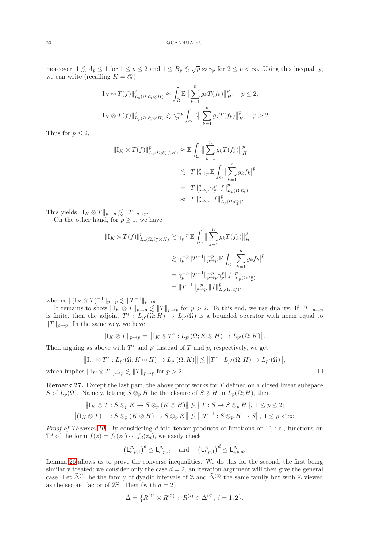moreover,  $1 \leq A_p \leq 1$  for  $1 \leq p \leq 2$  and  $1 \leq B_p \leq \sqrt{p} \approx \gamma_p$  for  $2 \leq p < \infty$ . Using this inequality, we can write (recalling  $K = \ell_2^n$ )

$$
\|\mathbf{I}_{K}\otimes T(f)\|_{L_{p}(\Omega;\ell_{2}^{n}\otimes H)}^{p} \approx \int_{\Omega} \mathbb{E}\left\|\sum_{k=1}^{n} g_{k}T(f_{k})\right\|_{H}^{p}, \quad p \leq 2,
$$
  

$$
\|\mathbf{I}_{K}\otimes T(f)\|_{L_{p}(\Omega;\ell_{2}^{n}\otimes H)}^{p} \gtrsim \gamma_{p}^{-p} \int_{\Omega} \mathbb{E}\left\|\sum_{k=1}^{n} g_{k}T(f_{k})\right\|_{H}^{p}, \quad p > 2.
$$

Thus for  $p \leq 2$ ,

$$
\begin{aligned} \|\mathbf{I}_{K}\otimes T(f)\|_{L_{p}(\Omega;\ell_{2}^{n}\otimes H)}^{p} &\approx \mathbb{E}\int_{\Omega}\big\|\sum_{k=1}^{n}g_{k}T(f_{k})\big\|_{H}^{p} \\ &\lesssim \|T\|_{p\to p}^{p}\,\mathbb{E}\int_{\Omega}\big|\sum_{k=1}^{n}g_{k}f_{k}\big|^{p} \\ &= \|T\|_{p\to p}^{p}\,\gamma_{p}^{p}\|f\|_{L_{p}(\Omega;\ell_{2}^{n})}^{p} \\ &\approx \|T\|_{p\to p}^{p}\,\|f\|_{L_{p}(\Omega;\ell_{2}^{n})}^{p}. \end{aligned}
$$

This yields  $||I_K \otimes T||_{p\to p} \lesssim ||T||_{p\to p}$ .

On the other hand, for  $p \geq 1$ , we have

$$
\begin{aligned} \|I_{K} \otimes T(f)\|_{L_{p}(\Omega; \ell_{2}^{n} \otimes H)}^{p} &\gtrsim \gamma_{p}^{-p} \mathbb{E} \int_{\Omega} \left\| \sum_{k=1}^{n} g_{k} T(f_{k}) \right\|_{H}^{p} \\ &\gtrsim \gamma_{p}^{-p} \|T^{-1}\|_{p \to p}^{-p} \mathbb{E} \int_{\Omega} \left| \sum_{k=1}^{n} g_{k} f_{k} \right|^{p} \\ &= \gamma_{p}^{-p} \|T^{-1}\|_{p \to p}^{-p} \gamma_{p}^{p} \|f\|_{L_{p}(\Omega; \ell_{2}^{n})}^{p} \\ &= \|T^{-1}\|_{p \to p}^{-p} \|f\|_{L_{p}(\Omega; \ell_{2}^{n})}^{p}, \end{aligned}
$$

whence  $||(I_K \otimes T)^{-1}||_{p\to p} \lesssim ||T^{-1}||_{p\to p}.$ 

It remains to show  $||I_K \otimes T||_{p\to p} \lesssim ||T||_{p\to p}$  for  $p > 2$ . To this end, we use duality. If  $||T||_{p\to p}$ is finite, then the adjoint  $T^* : L_{p'}(\Omega; H) \to L_{p'}(\Omega)$  is a bounded operator with norm equal to  $||T||_{p\rightarrow p}$ . In the same way, we have

$$
||I_K \otimes T||_{p \to p} = ||I_K \otimes T^* : L_{p'}(\Omega; K \otimes H) \to L_{p'}(\Omega; K)||.
$$

Then arguing as above with  $T^*$  and  $p'$  instead of T and p, respectively, we get

$$
\big\|I_K\otimes T^*: L_{p'}(\Omega;K\otimes H)\to L_{p'}(\Omega;K)\big\|\lesssim\big\|T^*: L_{p'}(\Omega;H)\to L_{p'}(\Omega)\big\|,
$$

which implies  $\|I_K \otimes T\|_{p\to p} \lesssim \|T\|_{p\to p}$  for  $p > 2$ .

<span id="page-19-0"></span>**Remark 27.** Except the last part, the above proof works for  $T$  defined on a closed linear subspace S of  $L_p(\Omega)$ . Namely, letting  $S \otimes_p H$  be the closure of  $S \otimes H$  in  $L_p(\Omega; H)$ , then

$$
||I_K \otimes T : S \otimes_p K \to S \otimes_p (K \otimes H)|| \lesssim ||T : S \to S \otimes_p H||, 1 \leq p \leq 2;
$$
  

$$
||(I_K \otimes T)^{-1} : S \otimes_p (K \otimes H) \to S \otimes_p K|| \lesssim |||T^{-1} : S \otimes_p H \to S||, 1 \leq p < \infty.
$$

*Proof of Theorem [10.](#page-4-3)* By considering d-fold tensor products of functions on  $\mathbb{T}$ , i.e., functions on  $\mathbb{T}^d$  of the form  $f(z) = f_1(z_1) \cdots f_d(z_d)$ , we easily check

$$
\big(\mathsf{L}^{\widetilde{\Delta}}_{c,p,1}\big)^d \leq \mathsf{L}^{\widetilde{\Delta}}_{c,p,d} \quad \text{ and } \quad \big(\mathsf{L}^{\widetilde{\Delta}}_{t,p,1}\big)^d \leq \mathsf{L}^{\widetilde{\Delta}}_{t,p,d}.
$$

Lemma [26](#page-18-0) allows us to prove the converse inequalities. We do this for the second, the first being similarly treated; we consider only the case  $d = 2$ , an iteration argument will then give the general case. Let  $\tilde{\Delta}^{(1)}$  be the family of dyadic intervals of Z and  $\tilde{\Delta}^{(2)}$  the same family but with Z viewed as the second factor of  $\mathbb{Z}^2$ . Then (with  $d=2$ )

$$
\widetilde{\Delta} = \big\{ R^{(1)} \times R^{(2)} \, : \, R^{(i)} \in \widetilde{\Delta}^{(i)}, \, i = 1, 2 \big\}.
$$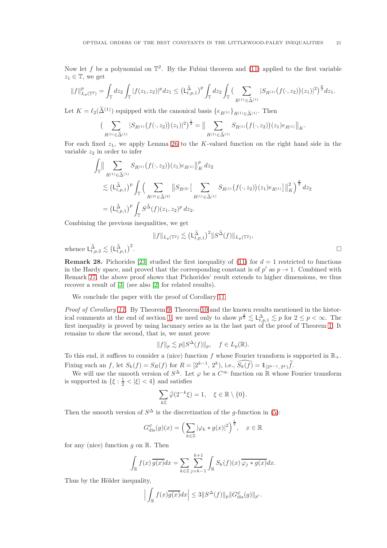Now let f be a polynomial on  $\mathbb{T}^2$ . By the Fubini theorem and [\(11\)](#page-4-2) applied to the first variable  $z_1 \in \mathbb{T}$ , we get

$$
||f||_{L_p(\mathbb{T}^2)}^p = \int_{\mathbb{T}} dz_2 \int_{\mathbb{T}} |f(z_1, z_2)|^p dz_1 \leq \left(\mathsf{L}_{t,p,1}^{\tilde{\Delta}}\right)^p \int_{\mathbb{T}} dz_2 \int_{\mathbb{T}} \left(\sum_{R^{(1)} \in \tilde{\Delta}^{(1)}} |S_{R^{(1)}}(f(\cdot, z_2))(z_1)|^2\right)^{\frac{p}{2}} dz_1.
$$

Let  $K = \ell_2(\widetilde{\Delta}^{(1)})$  equipped with the canonical basis  $\{e_{R(1)}\}_{R(1)\subset \widetilde{\Lambda}(1)}$ . Then

$$
\left(\sum_{R^{(1)} \in \widetilde{\Delta}^{(1)}} |S_{R^{(1)}}(f(\cdot,z_2))(z_1)|^2\right)^{\frac{1}{2}} = \Big\|\sum_{R^{(1)} \in \widetilde{\Delta}^{(1)}} S_{R^{(1)}}(f(\cdot,z_2))(z_1)e_{R^{(1)}}\Big\|_K.
$$

For each fixed  $z_1$ , we apply Lemma [26](#page-18-0) to the K-valued function on the right hand side in the variable  $z_2$  in order to infer

$$
\int_{\mathbb{T}} \|\sum_{R^{(1)} \in \widetilde{\Delta}^{(1)}} S_{R^{(1)}}(f(\cdot,z_2))(z_1) e_{R^{(1)}} \|_{K}^{p} dz_2
$$
\n
$$
\lesssim \left( L_{t,p,1}^{\widetilde{\Delta}} \right)^{p} \int_{\mathbb{T}} \Big( \sum_{R^{(2)} \in \widetilde{\Delta}^{(2)}} \|\overline{S}_{R^{(2)}} \Big[ \sum_{R^{(1)} \in \widetilde{\Delta}^{(1)}} S_{R^{(1)}}(f(\cdot,z_2))(z_1) e_{R^{(1)}} \Big] \|_{K}^{2} \Big)^{\frac{p}{2}} dz_2
$$
\n
$$
= \left( L_{t,p,1}^{\widetilde{\Delta}} \right)^{p} \int_{\mathbb{T}} S^{\widetilde{\Delta}}(f)(z_1, z_2)^{p} dz_2.
$$

Combining the previous inequalities, we get

$$
||f||_{L_p(\mathbb{T}^2)} \lesssim \left(\mathsf{L}^{\widetilde{\Delta}}_{t,p,1}\right)^2 ||S^{\widetilde{\Delta}}(f)||_{L_p(\mathbb{T}^2)},
$$
  
2.

whence  $\mathsf{L}_{t,p,2}^{\widetilde{\Delta}} \lesssim (\mathsf{L}_{t,p,1}^{\widetilde{\Delta}})^2$ 

**Remark 28.** Pichorides [\[23\]](#page-21-25) studied the first inequality of [\(11\)](#page-4-2) for  $d = 1$  restricted to functions in the Hardy space, and proved that the corresponding constant is of  $p'$  as  $p \to 1$ . Combined with Remark [27,](#page-19-0) the above proof shows that Pichorides' result extends to higher dimensions, we thus recover a result of [\[3\]](#page-21-26) (see also [\[2\]](#page-21-27) for related results).

We conclude the paper with the proof of Corollary [11.](#page-4-4)

Proof of Corollary [11.](#page-4-4) By Theorem [9,](#page-4-0) Theorem [10](#page-4-3) and the known results mentioned in the histor-ical comments at the end of section [1,](#page-0-3) we need only to show  $p^{\frac{d}{2}} \lesssim L_{t,p,1}^{\Delta} \lesssim p$  for  $2 \leq p < \infty$ . The first inequality is proved by using lacunary series as in the last part of the proof of Theorem [1.](#page-1-2) It remains to show the second, that is, we must prove

$$
||f||_p \lesssim p||S^{\Delta}(f)||_p, \quad f \in L_p(\mathbb{R}).
$$

To this end, it suffices to consider a (nice) function f whose Fourier transform is supported in  $\mathbb{R}_+$ .

Fixing such an f, let  $S_k(f) = S_R(f)$  for  $R = [2^{k-1}, 2^k)$ , i.e.,  $\widehat{S_k(f)} = 1\!\!1_{[2^{k-1}, 2^k)} \widehat{f}$ .

We will use the smooth version of  $S^{\Delta}$ . Let  $\varphi$  be a  $C^{\infty}$  function on  $\mathbb R$  whose Fourier transform is supported in  $\{\xi : \frac{1}{2} < |\xi| < 4\}$  and satisfies

$$
\sum_{k\mathbb{Z}} \widehat{\varphi}(2^{-k}\xi) = 1, \quad \xi \in \mathbb{R} \setminus \{0\}.
$$

Then the smooth version of  $S^{\Delta}$  is the discretization of the g-function in [\(5\)](#page-1-5):

$$
G_{\text{dis}}^{\varphi}(g)(x) = \left(\sum_{k \in \mathbb{Z}} |\varphi_k * g(x)|^2\right)^{\frac{1}{2}}, \quad x \in \mathbb{R}
$$

for any (nice) function q on  $\mathbb R$ . Then

$$
\int_{\mathbb{R}} f(x) \overline{g(x)} dx = \sum_{k \in \mathbb{Z}} \sum_{j=k-1}^{k+1} \int_{\mathbb{R}} S_k(f)(x) \overline{\varphi_j * g(x)} dx.
$$

Thus by the Hölder inequality,

$$
\Big|\int_{\mathbb{R}}f(x)\overline{g(x)}dx\Big|\leq 3\|S^{\Delta}(f)\|_{p}\|G_{\mathrm{dis}}^{\varphi}(g)\|_{p'}.
$$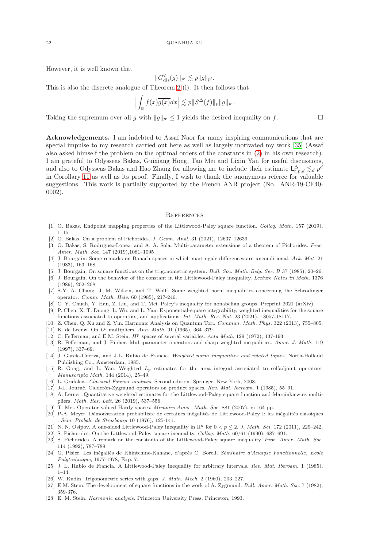However, it is well known that

$$
||G_{\text{dis}}^{\varphi}(g)||_{p'} \lesssim p||g||_{p'}.
$$

This is also the discrete analogue of Theorem [2](#page-1-1) (i). It then follows that

$$
\left| \int_{\mathbb{R}} f(x) \overline{g(x)} dx \right| \lesssim p \| S^{\Delta}(f) \|_{p} \| g \|_{p'}.
$$

Taking the supremum over all g with  $||g||_{p'} \le 1$  yields the desired inequality on f.

Acknowledgements. I am indebted to Assaf Naor for many inspiring communications that are special impulse to my research carried out here as well as largely motivated my work [\[35\]](#page-22-0) (Assaf also asked himself the problem on the optimal orders of the constants in [\(2\)](#page-0-0) in his own research). I am grateful to Odysseas Bakas, Guixiang Hong, Tao Mei and Lixin Yan for useful discussions, and also to Odysseas Bakas and Hao Zhang for allowing me to include their estimate  $\mathsf{L}^{\Delta}_{t,p,d} \lesssim_d p^d$ in Corollary [11](#page-4-4) as well as its proof. Finally, I wish to thank the anonymous referee for valuable suggestions. This work is partially supported by the French ANR project (No. ANR-19-CE40- 0002).

#### **REFERENCES**

- <span id="page-21-27"></span><span id="page-21-12"></span>[1] O. Bakas. Endpoint mapping properties of the Littlewood-Paley square function. Colloq. Math. 157 (2019), 1–15.
- <span id="page-21-26"></span>[2] O. Bakas. On a problem of Pichorides. J. Geom. Anal. 31 (2021), 12637–12639.
- [3] O. Bakas, S. Rodríguez-López, and A. A. Sola. Multi-parameter extensions of a theorem of Pichorides. Proc. Amer. Math. Soc. 147 (2019),1081–1095
- <span id="page-21-19"></span>[4] J. Bourgain. Some remarks on Banach spaces in which martingale differences are unconditional. Ark. Mat. 21 (1983), 163–168.
- <span id="page-21-10"></span><span id="page-21-8"></span>[5] J. Bourgain. On square functions on the trigonometric system. Bull. Soc. Math. Belg. Sér. B 37 (1985), 20–26. [6] J. Bourgain. On the behavior of the constant in the Littlewood-Paley inequality. Lecture Notes in Math. 1376
- <span id="page-21-2"></span>(1989), 202–208.
- [7] S-Y. A. Chang, J. M. Wilson, and T. Wolff. Some weighted norm inequalities concerning the Schrödinger operator. Comm. Math. Helv. 60 (1985), 217-246.
- <span id="page-21-20"></span><span id="page-21-3"></span>[8] C. Y. Chuah, Y. Han, Z. Liu, and T. Mei. Paley's inequality for nonabelian groups. Preprint 2021 (arXiv).
- [9] P. Chen, X. T. Duong, L. Wu, and L. Yan. Exponential-square integrability, weighted inequalities for the square functions associated to operators, and applications. Int. Math. Res. Not. 23 (2021), 18057-18117.
- <span id="page-21-18"></span><span id="page-21-15"></span>[10] Z. Chen, Q. Xu and Z. Yin. Harmonic Analysis on Quantum Tori. Commun. Math. Phys. 322 (2013), 755–805. [11] K. de Leeuw. On  $L^p$  multipliers. Ann. Math. 91 (1965), 364–379.
- <span id="page-21-4"></span><span id="page-21-1"></span>[12] C. Fefferman, and E.M. Stein.  $H<sup>p</sup>$  spaces of several variables. Acta Math. 129 (1972), 137-193.
- [13] R. Fefferman, and J. Pipher. Multiparameter operators and sharp weighted inequalities. Amer. J. Math. 119 (1997), 337–69.
- <span id="page-21-24"></span>[14] J. García-Cuerva, and J.L. Rubio de Francia. Weighted norm inequalities and related topics. North-Holland Publishing Co., Amsterdam, 1985.
- <span id="page-21-5"></span>[15] R. Gong, and L. Yan. Weighted Lp estimates for the area integral associated to selfadjoint operators. Manuscripta Math. 144 (2014), 25–49.
- <span id="page-21-13"></span><span id="page-21-7"></span>[16] L. Grafakos. Classical Fourier analysis. Second edition. Springer, New York, 2008.
- <span id="page-21-9"></span>[17] J-L. Journé. Calderón-Zygmund operators on product spaces. Rev. Mat. Iberoam. 1 (1985), 55–91.
- [18] A. Lerner. Quantitative weighted estimates for the Littlewood-Paley square function and Marcinkiewicz multipliers. Math. Res. Lett. 26 (2019), 537–556.
- <span id="page-21-16"></span><span id="page-21-6"></span>[19] T. Mei. Operator valued Hardy spaces. Memoirs Amer. Math. Soc. 881 (2007), vi+64 pp.
- [20] P-A. Meyer. Démonstration probabiliste de certaines inégalités de Littlewood-Paley I: les inégalités classiques . Sém. Probab. de Strasbourg 10 (1976), 125-141.
- <span id="page-21-23"></span><span id="page-21-14"></span>[21] N. N. Osipov. A one-sided Littlewood-Paley inequality in  $\mathbb{R}^n$  for  $0 < p \le 2$ . J. Math. Sci. 172 (2011), 229–242.
- <span id="page-21-25"></span>[22] S. Pichorides. On the Littlewood-Paley square inequality. Colloq. Math. 60/61 (1990), 687–691.
- [23] S. Pichorides. A remark on the constants of the Littlewood-Paley square inequality. Proc. Amer. Math. Soc. 114 (1992), 787–789.
- <span id="page-21-22"></span>[24] G. Pisier. Les inégaliés de Khintchine-Kahane, d'après C. Borell. Séminaire d'Analyse Fonctionnelle, Ecole Polytechnique, 1977-1978, Exp. 7.
- <span id="page-21-11"></span>[25] J. L. Rubio de Francia. A Littlewood-Paley inequality for arbitrary intervals. Rev. Mat. Iberoam. 1 (1985), 1–14.
- <span id="page-21-21"></span><span id="page-21-0"></span>[26] W. Rudin. Trigonometric series with gaps. J. Math. Mech. 2 (1960), 203-227.
- [27] E.M. Stein. The development of square functions in the work of A. Zygmund. Bull. Amer. Math. Soc. 7 (1982), 359-376.
- <span id="page-21-17"></span>[28] E. M. Stein. Harmonic analysis. Princeton University Press, Princeton, 1993.